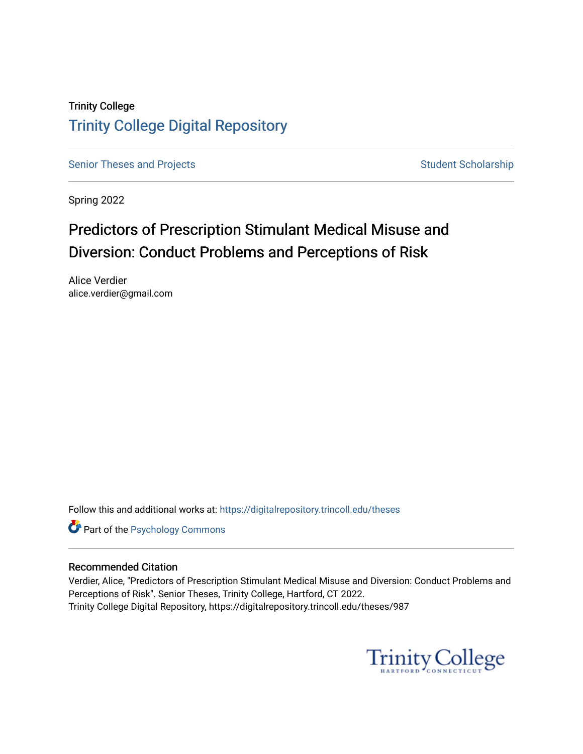# Trinity College [Trinity College Digital Repository](https://digitalrepository.trincoll.edu/)

[Senior Theses and Projects](https://digitalrepository.trincoll.edu/theses) Senior Theses and Projects Student Scholarship

Spring 2022

# Predictors of Prescription Stimulant Medical Misuse and Diversion: Conduct Problems and Perceptions of Risk

Alice Verdier alice.verdier@gmail.com

Follow this and additional works at: [https://digitalrepository.trincoll.edu/theses](https://digitalrepository.trincoll.edu/theses?utm_source=digitalrepository.trincoll.edu%2Ftheses%2F987&utm_medium=PDF&utm_campaign=PDFCoverPages)

**Part of the Psychology Commons** 

### Recommended Citation

Verdier, Alice, "Predictors of Prescription Stimulant Medical Misuse and Diversion: Conduct Problems and Perceptions of Risk". Senior Theses, Trinity College, Hartford, CT 2022. Trinity College Digital Repository, https://digitalrepository.trincoll.edu/theses/987

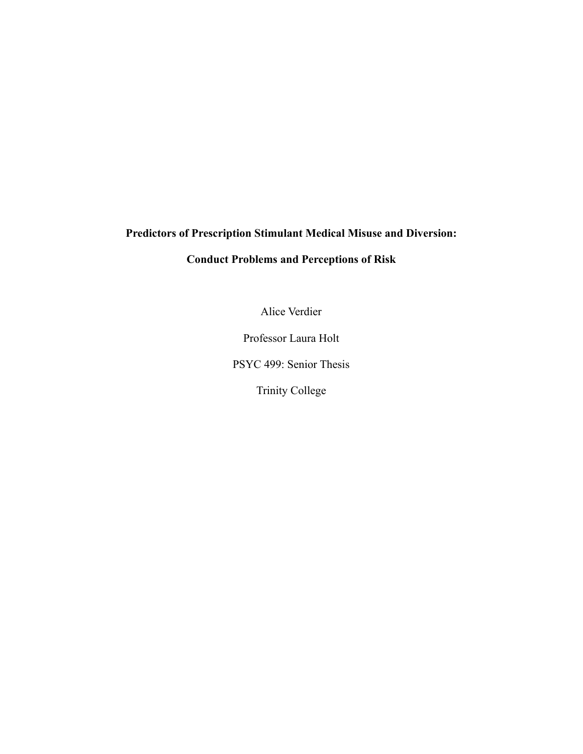# **Predictors of Prescription Stimulant Medical Misuse and Diversion:**

# **Conduct Problems and Perceptions of Risk**

Alice Verdier

Professor Laura Holt

PSYC 499: Senior Thesis

Trinity College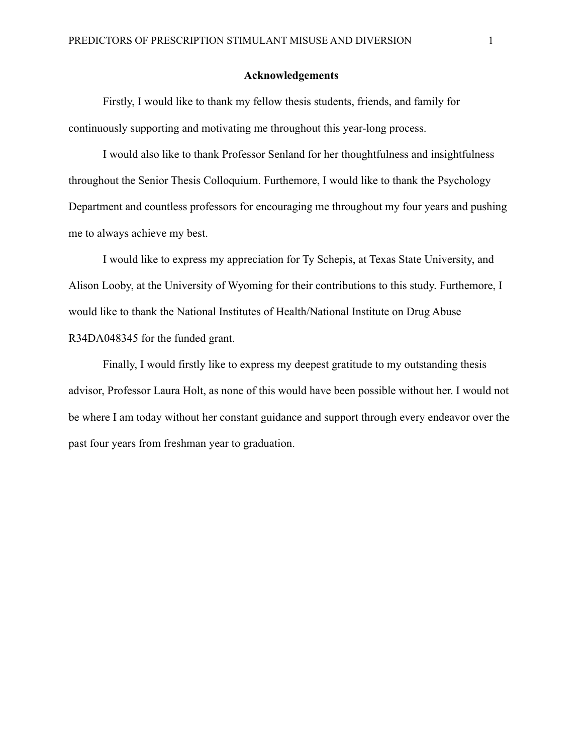#### **Acknowledgements**

Firstly, I would like to thank my fellow thesis students, friends, and family for continuously supporting and motivating me throughout this year-long process.

I would also like to thank Professor Senland for her thoughtfulness and insightfulness throughout the Senior Thesis Colloquium. Furthemore, I would like to thank the Psychology Department and countless professors for encouraging me throughout my four years and pushing me to always achieve my best.

I would like to express my appreciation for Ty Schepis, at Texas State University, and Alison Looby, at the University of Wyoming for their contributions to this study. Furthemore, I would like to thank the National Institutes of Health/National Institute on Drug Abuse R34DA048345 for the funded grant.

Finally, I would firstly like to express my deepest gratitude to my outstanding thesis advisor, Professor Laura Holt, as none of this would have been possible without her. I would not be where I am today without her constant guidance and support through every endeavor over the past four years from freshman year to graduation.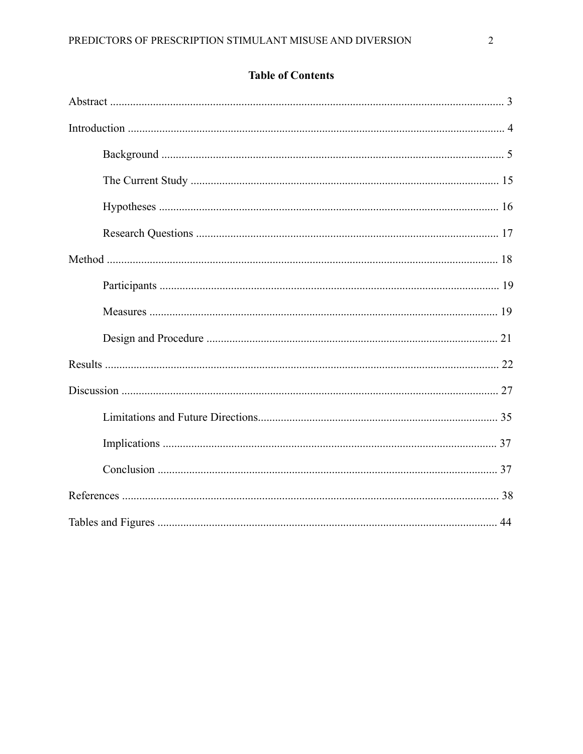# **Table of Contents**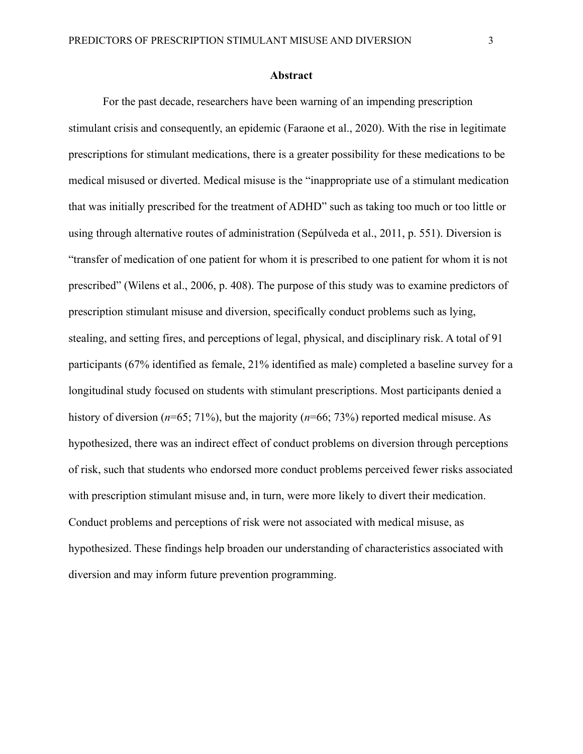#### **Abstract**

For the past decade, researchers have been warning of an impending prescription stimulant crisis and consequently, an epidemic (Faraone et al., 2020). With the rise in legitimate prescriptions for stimulant medications, there is a greater possibility for these medications to be medical misused or diverted. Medical misuse is the "inappropriate use of a stimulant medication that was initially prescribed for the treatment of ADHD" such as taking too much or too little or using through alternative routes of administration (Sepúlveda et al., 2011, p. 551). Diversion is "transfer of medication of one patient for whom it is prescribed to one patient for whom it is not prescribed" (Wilens et al., 2006, p. 408). The purpose of this study was to examine predictors of prescription stimulant misuse and diversion, specifically conduct problems such as lying, stealing, and setting fires, and perceptions of legal, physical, and disciplinary risk. A total of 91 participants (67% identified as female, 21% identified as male) completed a baseline survey for a longitudinal study focused on students with stimulant prescriptions. Most participants denied a history of diversion (*n*=65; 71%), but the majority (*n*=66; 73%) reported medical misuse. As hypothesized, there was an indirect effect of conduct problems on diversion through perceptions of risk, such that students who endorsed more conduct problems perceived fewer risks associated with prescription stimulant misuse and, in turn, were more likely to divert their medication. Conduct problems and perceptions of risk were not associated with medical misuse, as hypothesized. These findings help broaden our understanding of characteristics associated with diversion and may inform future prevention programming.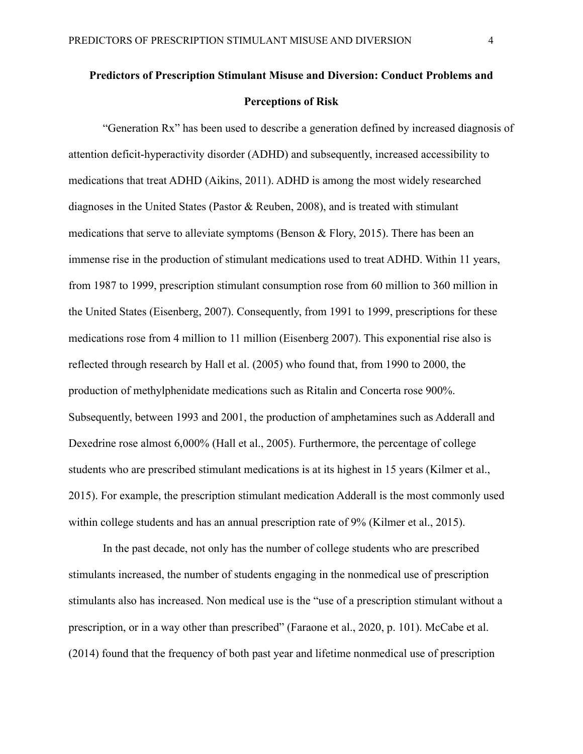# **Predictors of Prescription Stimulant Misuse and Diversion: Conduct Problems and Perceptions of Risk**

"Generation Rx" has been used to describe a generation defined by increased diagnosis of attention deficit-hyperactivity disorder (ADHD) and subsequently, increased accessibility to medications that treat ADHD (Aikins, 2011). ADHD is among the most widely researched diagnoses in the United States (Pastor & Reuben, 2008), and is treated with stimulant medications that serve to alleviate symptoms (Benson  $\&$  Flory, 2015). There has been an immense rise in the production of stimulant medications used to treat ADHD. Within 11 years, from 1987 to 1999, prescription stimulant consumption rose from 60 million to 360 million in the United States (Eisenberg, 2007). Consequently, from 1991 to 1999, prescriptions for these medications rose from 4 million to 11 million (Eisenberg 2007). This exponential rise also is reflected through research by Hall et al. (2005) who found that, from 1990 to 2000, the production of methylphenidate medications such as Ritalin and Concerta rose 900%. Subsequently, between 1993 and 2001, the production of amphetamines such as Adderall and Dexedrine rose almost 6,000% (Hall et al., 2005). Furthermore, the percentage of college students who are prescribed stimulant medications is at its highest in 15 years (Kilmer et al., 2015). For example, the prescription stimulant medication Adderall is the most commonly used within college students and has an annual prescription rate of 9% (Kilmer et al., 2015).

In the past decade, not only has the number of college students who are prescribed stimulants increased, the number of students engaging in the nonmedical use of prescription stimulants also has increased. Non medical use is the "use of a prescription stimulant without a prescription, or in a way other than prescribed" (Faraone et al., 2020, p. 101). McCabe et al. (2014) found that the frequency of both past year and lifetime nonmedical use of prescription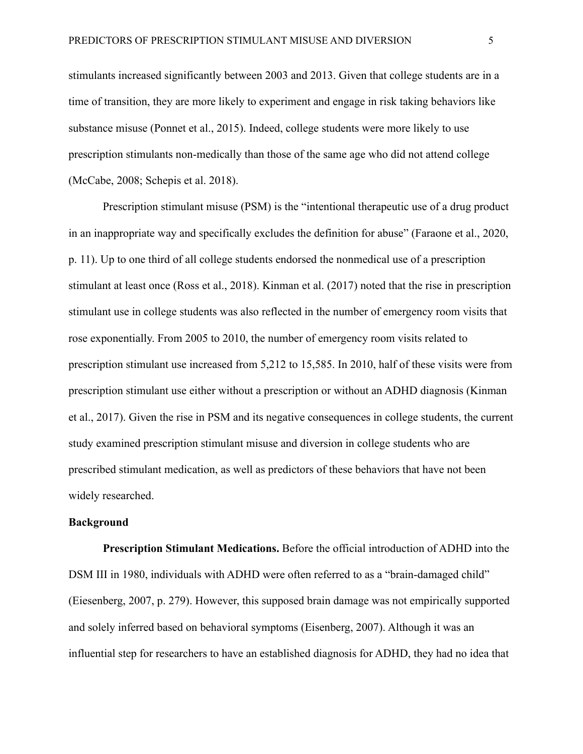stimulants increased significantly between 2003 and 2013. Given that college students are in a time of transition, they are more likely to experiment and engage in risk taking behaviors like substance misuse (Ponnet et al., 2015). Indeed, college students were more likely to use prescription stimulants non-medically than those of the same age who did not attend college (McCabe, 2008; Schepis et al. 2018).

Prescription stimulant misuse (PSM) is the "intentional therapeutic use of a drug product in an inappropriate way and specifically excludes the definition for abuse" (Faraone et al., 2020, p. 11). Up to one third of all college students endorsed the nonmedical use of a prescription stimulant at least once (Ross et al., 2018). Kinman et al. (2017) noted that the rise in prescription stimulant use in college students was also reflected in the number of emergency room visits that rose exponentially. From 2005 to 2010, the number of emergency room visits related to prescription stimulant use increased from 5,212 to 15,585. In 2010, half of these visits were from prescription stimulant use either without a prescription or without an ADHD diagnosis (Kinman et al., 2017). Given the rise in PSM and its negative consequences in college students, the current study examined prescription stimulant misuse and diversion in college students who are prescribed stimulant medication, as well as predictors of these behaviors that have not been widely researched.

#### **Background**

**Prescription Stimulant Medications.** Before the official introduction of ADHD into the DSM III in 1980, individuals with ADHD were often referred to as a "brain-damaged child" (Eiesenberg, 2007, p. 279). However, this supposed brain damage was not empirically supported and solely inferred based on behavioral symptoms (Eisenberg, 2007). Although it was an influential step for researchers to have an established diagnosis for ADHD, they had no idea that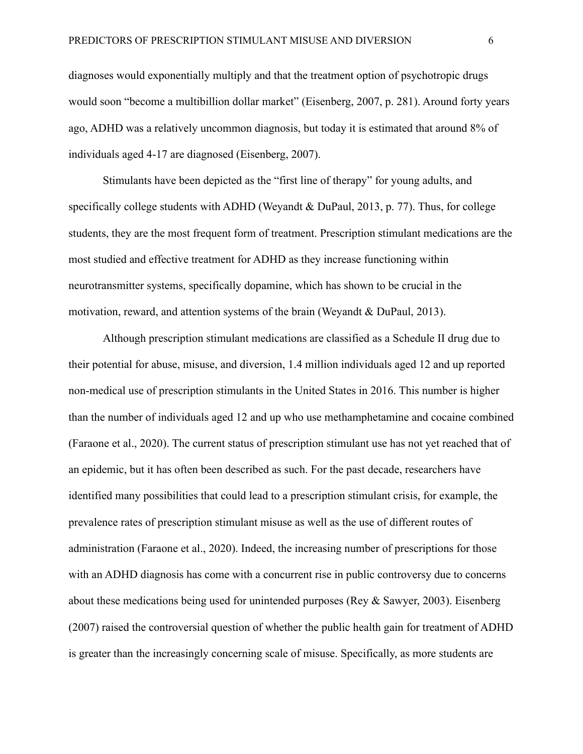diagnoses would exponentially multiply and that the treatment option of psychotropic drugs would soon "become a multibillion dollar market" (Eisenberg, 2007, p. 281). Around forty years ago, ADHD was a relatively uncommon diagnosis, but today it is estimated that around 8% of individuals aged 4-17 are diagnosed (Eisenberg, 2007).

Stimulants have been depicted as the "first line of therapy" for young adults, and specifically college students with ADHD (Weyandt & DuPaul, 2013, p. 77). Thus, for college students, they are the most frequent form of treatment. Prescription stimulant medications are the most studied and effective treatment for ADHD as they increase functioning within neurotransmitter systems, specifically dopamine, which has shown to be crucial in the motivation, reward, and attention systems of the brain (Weyandt & DuPaul, 2013).

Although prescription stimulant medications are classified as a Schedule II drug due to their potential for abuse, misuse, and diversion, 1.4 million individuals aged 12 and up reported non-medical use of prescription stimulants in the United States in 2016. This number is higher than the number of individuals aged 12 and up who use methamphetamine and cocaine combined (Faraone et al., 2020). The current status of prescription stimulant use has not yet reached that of an epidemic, but it has often been described as such. For the past decade, researchers have identified many possibilities that could lead to a prescription stimulant crisis, for example, the prevalence rates of prescription stimulant misuse as well as the use of different routes of administration (Faraone et al., 2020). Indeed, the increasing number of prescriptions for those with an ADHD diagnosis has come with a concurrent rise in public controversy due to concerns about these medications being used for unintended purposes (Rey & Sawyer, 2003). Eisenberg (2007) raised the controversial question of whether the public health gain for treatment of ADHD is greater than the increasingly concerning scale of misuse. Specifically, as more students are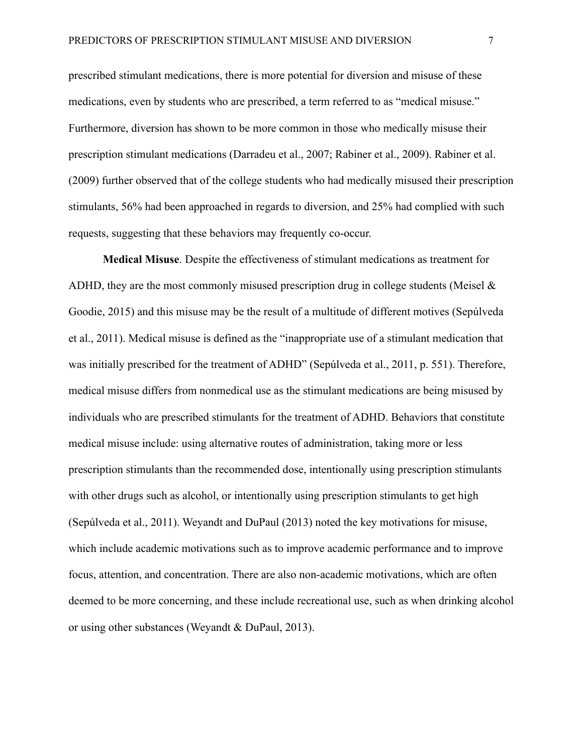prescribed stimulant medications, there is more potential for diversion and misuse of these medications, even by students who are prescribed, a term referred to as "medical misuse." Furthermore, diversion has shown to be more common in those who medically misuse their prescription stimulant medications (Darradeu et al., 2007; Rabiner et al., 2009). Rabiner et al. (2009) further observed that of the college students who had medically misused their prescription stimulants, 56% had been approached in regards to diversion, and 25% had complied with such requests, suggesting that these behaviors may frequently co-occur.

**Medical Misuse**. Despite the effectiveness of stimulant medications as treatment for ADHD, they are the most commonly misused prescription drug in college students (Meisel & Goodie, 2015) and this misuse may be the result of a multitude of different motives (Sepúlveda et al., 2011). Medical misuse is defined as the "inappropriate use of a stimulant medication that was initially prescribed for the treatment of ADHD" (Sepúlveda et al., 2011, p. 551). Therefore, medical misuse differs from nonmedical use as the stimulant medications are being misused by individuals who are prescribed stimulants for the treatment of ADHD. Behaviors that constitute medical misuse include: using alternative routes of administration, taking more or less prescription stimulants than the recommended dose, intentionally using prescription stimulants with other drugs such as alcohol, or intentionally using prescription stimulants to get high (Sepúlveda et al., 2011). Weyandt and DuPaul (2013) noted the key motivations for misuse, which include academic motivations such as to improve academic performance and to improve focus, attention, and concentration. There are also non-academic motivations, which are often deemed to be more concerning, and these include recreational use, such as when drinking alcohol or using other substances (Weyandt & DuPaul, 2013).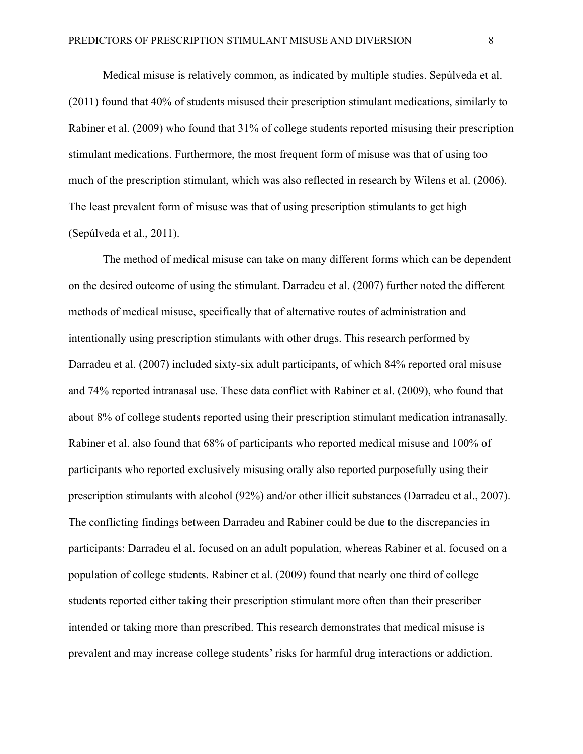Medical misuse is relatively common, as indicated by multiple studies. Sepúlveda et al. (2011) found that 40% of students misused their prescription stimulant medications, similarly to Rabiner et al. (2009) who found that 31% of college students reported misusing their prescription stimulant medications. Furthermore, the most frequent form of misuse was that of using too much of the prescription stimulant, which was also reflected in research by Wilens et al. (2006). The least prevalent form of misuse was that of using prescription stimulants to get high (Sepúlveda et al., 2011).

The method of medical misuse can take on many different forms which can be dependent on the desired outcome of using the stimulant. Darradeu et al. (2007) further noted the different methods of medical misuse, specifically that of alternative routes of administration and intentionally using prescription stimulants with other drugs. This research performed by Darradeu et al. (2007) included sixty-six adult participants, of which 84% reported oral misuse and 74% reported intranasal use. These data conflict with Rabiner et al. (2009), who found that about 8% of college students reported using their prescription stimulant medication intranasally. Rabiner et al. also found that 68% of participants who reported medical misuse and 100% of participants who reported exclusively misusing orally also reported purposefully using their prescription stimulants with alcohol (92%) and/or other illicit substances (Darradeu et al., 2007). The conflicting findings between Darradeu and Rabiner could be due to the discrepancies in participants: Darradeu el al. focused on an adult population, whereas Rabiner et al. focused on a population of college students. Rabiner et al. (2009) found that nearly one third of college students reported either taking their prescription stimulant more often than their prescriber intended or taking more than prescribed. This research demonstrates that medical misuse is prevalent and may increase college students' risks for harmful drug interactions or addiction.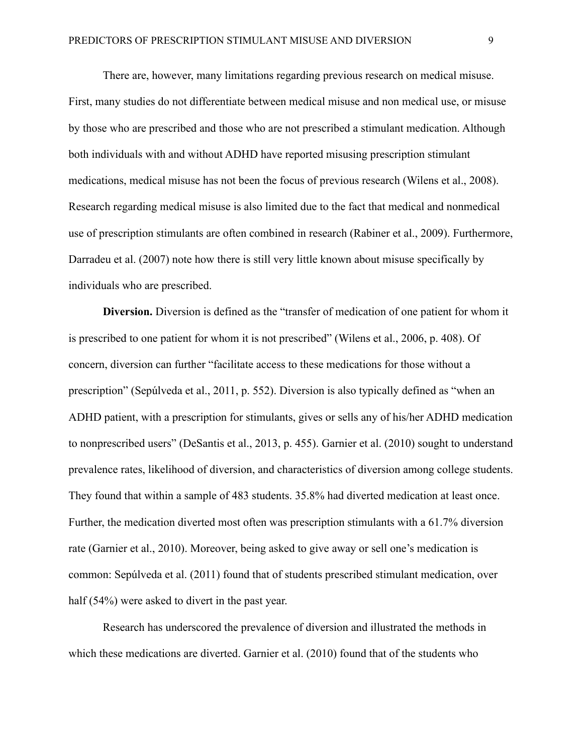There are, however, many limitations regarding previous research on medical misuse. First, many studies do not differentiate between medical misuse and non medical use, or misuse by those who are prescribed and those who are not prescribed a stimulant medication. Although both individuals with and without ADHD have reported misusing prescription stimulant medications, medical misuse has not been the focus of previous research (Wilens et al., 2008). Research regarding medical misuse is also limited due to the fact that medical and nonmedical use of prescription stimulants are often combined in research (Rabiner et al., 2009). Furthermore, Darradeu et al. (2007) note how there is still very little known about misuse specifically by individuals who are prescribed.

**Diversion.** Diversion is defined as the "transfer of medication of one patient for whom it is prescribed to one patient for whom it is not prescribed" (Wilens et al., 2006, p. 408). Of concern, diversion can further "facilitate access to these medications for those without a prescription" (Sepúlveda et al., 2011, p. 552). Diversion is also typically defined as "when an ADHD patient, with a prescription for stimulants, gives or sells any of his/her ADHD medication to nonprescribed users" (DeSantis et al., 2013, p. 455). Garnier et al. (2010) sought to understand prevalence rates, likelihood of diversion, and characteristics of diversion among college students. They found that within a sample of 483 students. 35.8% had diverted medication at least once. Further, the medication diverted most often was prescription stimulants with a 61.7% diversion rate (Garnier et al., 2010). Moreover, being asked to give away or sell one's medication is common: Sepúlveda et al. (2011) found that of students prescribed stimulant medication, over half (54%) were asked to divert in the past year.

Research has underscored the prevalence of diversion and illustrated the methods in which these medications are diverted. Garnier et al. (2010) found that of the students who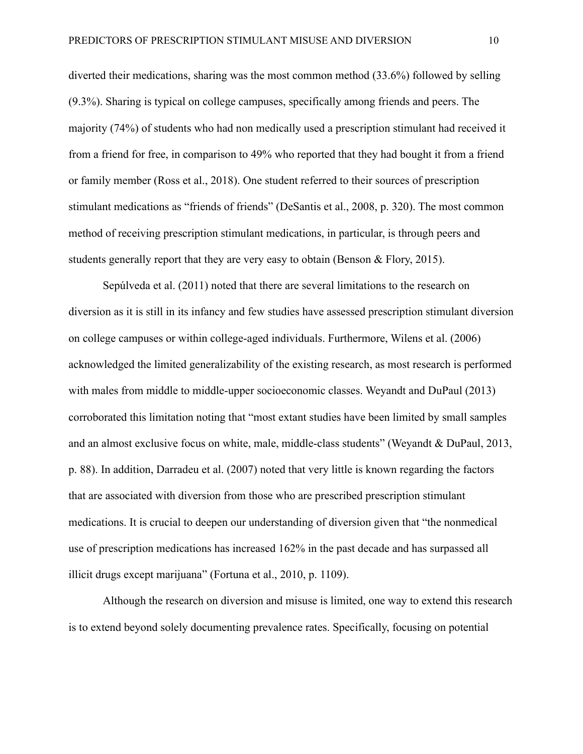diverted their medications, sharing was the most common method (33.6%) followed by selling (9.3%). Sharing is typical on college campuses, specifically among friends and peers. The majority (74%) of students who had non medically used a prescription stimulant had received it from a friend for free, in comparison to 49% who reported that they had bought it from a friend or family member (Ross et al., 2018). One student referred to their sources of prescription stimulant medications as "friends of friends" (DeSantis et al., 2008, p. 320). The most common method of receiving prescription stimulant medications, in particular, is through peers and students generally report that they are very easy to obtain (Benson & Flory, 2015).

Sepúlveda et al. (2011) noted that there are several limitations to the research on diversion as it is still in its infancy and few studies have assessed prescription stimulant diversion on college campuses or within college-aged individuals. Furthermore, Wilens et al. (2006) acknowledged the limited generalizability of the existing research, as most research is performed with males from middle to middle-upper socioeconomic classes. Weyandt and DuPaul (2013) corroborated this limitation noting that "most extant studies have been limited by small samples and an almost exclusive focus on white, male, middle-class students" (Weyandt & DuPaul, 2013, p. 88). In addition, Darradeu et al. (2007) noted that very little is known regarding the factors that are associated with diversion from those who are prescribed prescription stimulant medications. It is crucial to deepen our understanding of diversion given that "the nonmedical use of prescription medications has increased 162% in the past decade and has surpassed all illicit drugs except marijuana" (Fortuna et al., 2010, p. 1109).

Although the research on diversion and misuse is limited, one way to extend this research is to extend beyond solely documenting prevalence rates. Specifically, focusing on potential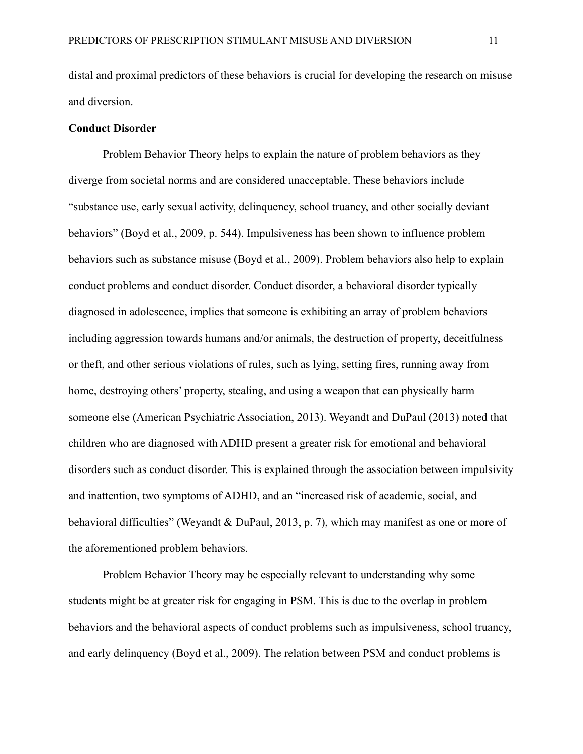distal and proximal predictors of these behaviors is crucial for developing the research on misuse and diversion.

#### **Conduct Disorder**

Problem Behavior Theory helps to explain the nature of problem behaviors as they diverge from societal norms and are considered unacceptable. These behaviors include "substance use, early sexual activity, delinquency, school truancy, and other socially deviant behaviors" (Boyd et al., 2009, p. 544). Impulsiveness has been shown to influence problem behaviors such as substance misuse (Boyd et al., 2009). Problem behaviors also help to explain conduct problems and conduct disorder. Conduct disorder, a behavioral disorder typically diagnosed in adolescence, implies that someone is exhibiting an array of problem behaviors including aggression towards humans and/or animals, the destruction of property, deceitfulness or theft, and other serious violations of rules, such as lying, setting fires, running away from home, destroying others' property, stealing, and using a weapon that can physically harm someone else (American Psychiatric Association, 2013). Weyandt and DuPaul (2013) noted that children who are diagnosed with ADHD present a greater risk for emotional and behavioral disorders such as conduct disorder. This is explained through the association between impulsivity and inattention, two symptoms of ADHD, and an "increased risk of academic, social, and behavioral difficulties" (Weyandt & DuPaul, 2013, p. 7), which may manifest as one or more of the aforementioned problem behaviors.

Problem Behavior Theory may be especially relevant to understanding why some students might be at greater risk for engaging in PSM. This is due to the overlap in problem behaviors and the behavioral aspects of conduct problems such as impulsiveness, school truancy, and early delinquency (Boyd et al., 2009). The relation between PSM and conduct problems is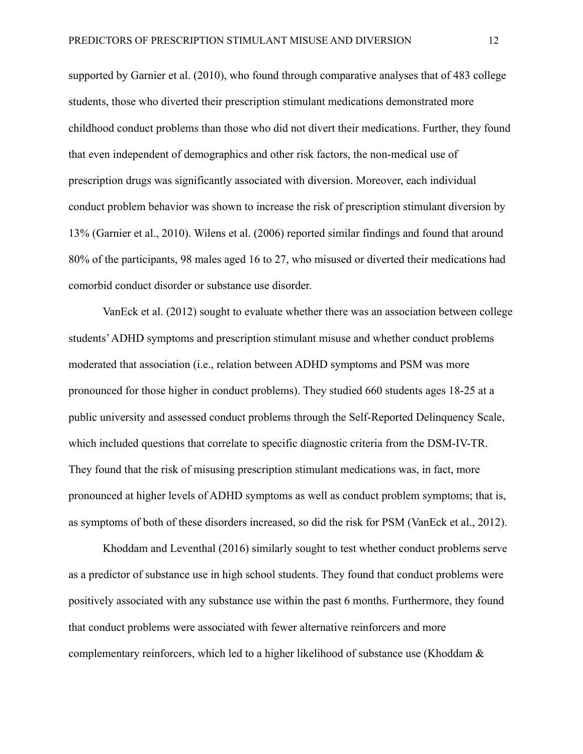supported by Garnier et al. (2010), who found through comparative analyses that of 483 college students, those who diverted their prescription stimulant medications demonstrated more childhood conduct problems than those who did not divert their medications. Further, they found that even independent of demographics and other risk factors, the non-medical use of prescription drugs was significantly associated with diversion. Moreover, each individual conduct problem behavior was shown to increase the risk of prescription stimulant diversion by 13% (Garnier et al., 2010). Wilens et al. (2006) reported similar findings and found that around 80% of the participants, 98 males aged 16 to 27, who misused or diverted their medications had comorbid conduct disorder or substance use disorder.

VanEck et al. (2012) sought to evaluate whether there was an association between college students'ADHD symptoms and prescription stimulant misuse and whether conduct problems moderated that association (i.e., relation between ADHD symptoms and PSM was more pronounced for those higher in conduct problems). They studied 660 students ages 18-25 at a public university and assessed conduct problems through the Self-Reported Delinquency Scale, which included questions that correlate to specific diagnostic criteria from the DSM-IV-TR. They found that the risk of misusing prescription stimulant medications was, in fact, more pronounced at higher levels of ADHD symptoms as well as conduct problem symptoms; that is, as symptoms of both of these disorders increased, so did the risk for PSM (VanEck et al., 2012).

Khoddam and Leventhal (2016) similarly sought to test whether conduct problems serve as a predictor of substance use in high school students. They found that conduct problems were positively associated with any substance use within the past 6 months. Furthermore, they found that conduct problems were associated with fewer alternative reinforcers and more complementary reinforcers, which led to a higher likelihood of substance use (Khoddam &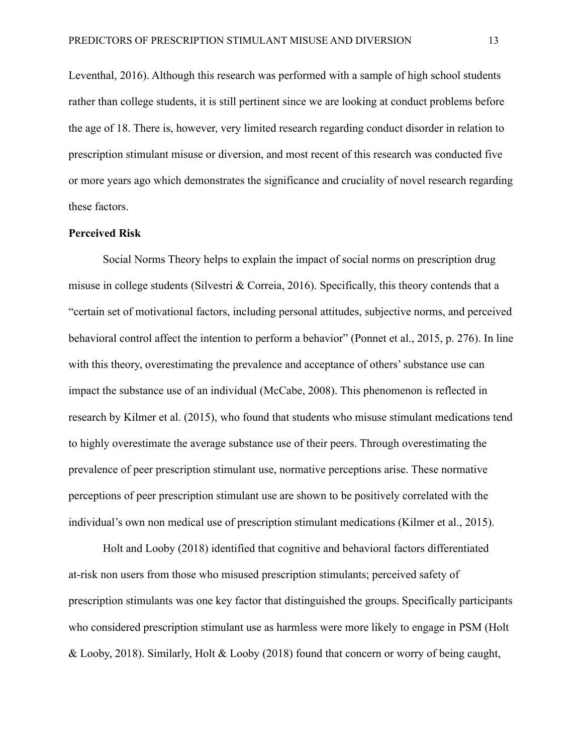Leventhal, 2016). Although this research was performed with a sample of high school students rather than college students, it is still pertinent since we are looking at conduct problems before the age of 18. There is, however, very limited research regarding conduct disorder in relation to prescription stimulant misuse or diversion, and most recent of this research was conducted five or more years ago which demonstrates the significance and cruciality of novel research regarding these factors.

# **Perceived Risk**

Social Norms Theory helps to explain the impact of social norms on prescription drug misuse in college students (Silvestri & Correia, 2016). Specifically, this theory contends that a "certain set of motivational factors, including personal attitudes, subjective norms, and perceived behavioral control affect the intention to perform a behavior" (Ponnet et al., 2015, p. 276). In line with this theory, overestimating the prevalence and acceptance of others' substance use can impact the substance use of an individual (McCabe, 2008). This phenomenon is reflected in research by Kilmer et al. (2015), who found that students who misuse stimulant medications tend to highly overestimate the average substance use of their peers. Through overestimating the prevalence of peer prescription stimulant use, normative perceptions arise. These normative perceptions of peer prescription stimulant use are shown to be positively correlated with the individual's own non medical use of prescription stimulant medications (Kilmer et al., 2015).

Holt and Looby (2018) identified that cognitive and behavioral factors differentiated at-risk non users from those who misused prescription stimulants; perceived safety of prescription stimulants was one key factor that distinguished the groups. Specifically participants who considered prescription stimulant use as harmless were more likely to engage in PSM (Holt & Looby, 2018). Similarly, Holt & Looby (2018) found that concern or worry of being caught,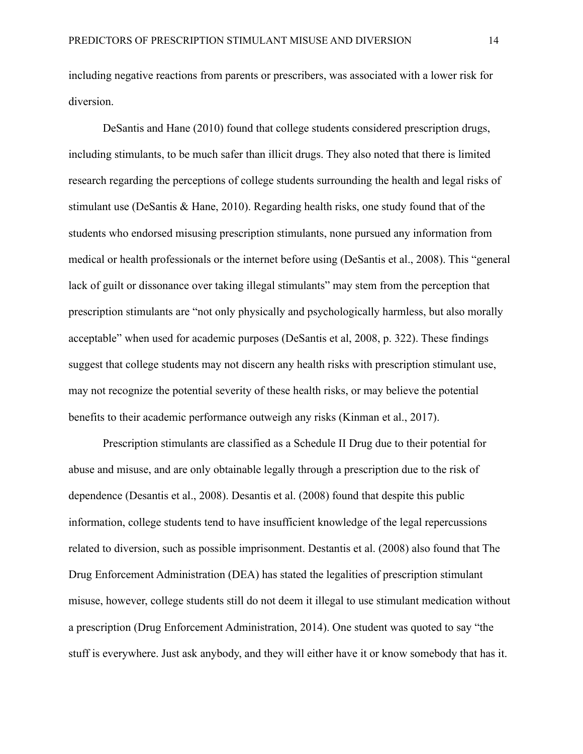including negative reactions from parents or prescribers, was associated with a lower risk for diversion.

DeSantis and Hane (2010) found that college students considered prescription drugs, including stimulants, to be much safer than illicit drugs. They also noted that there is limited research regarding the perceptions of college students surrounding the health and legal risks of stimulant use (DeSantis & Hane, 2010). Regarding health risks, one study found that of the students who endorsed misusing prescription stimulants, none pursued any information from medical or health professionals or the internet before using (DeSantis et al., 2008). This "general lack of guilt or dissonance over taking illegal stimulants" may stem from the perception that prescription stimulants are "not only physically and psychologically harmless, but also morally acceptable" when used for academic purposes (DeSantis et al, 2008, p. 322). These findings suggest that college students may not discern any health risks with prescription stimulant use, may not recognize the potential severity of these health risks, or may believe the potential benefits to their academic performance outweigh any risks (Kinman et al., 2017).

Prescription stimulants are classified as a Schedule II Drug due to their potential for abuse and misuse, and are only obtainable legally through a prescription due to the risk of dependence (Desantis et al., 2008). Desantis et al. (2008) found that despite this public information, college students tend to have insufficient knowledge of the legal repercussions related to diversion, such as possible imprisonment. Destantis et al. (2008) also found that The Drug Enforcement Administration (DEA) has stated the legalities of prescription stimulant misuse, however, college students still do not deem it illegal to use stimulant medication without a prescription (Drug Enforcement Administration, 2014). One student was quoted to say "the stuff is everywhere. Just ask anybody, and they will either have it or know somebody that has it.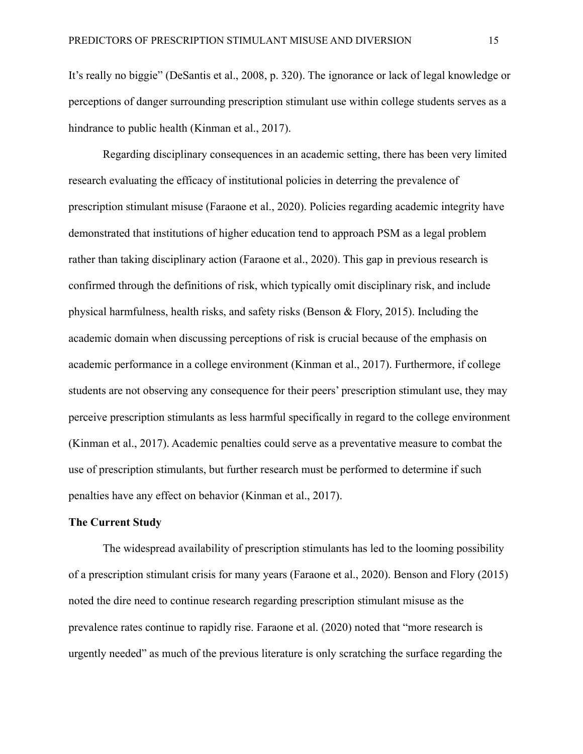It's really no biggie" (DeSantis et al., 2008, p. 320). The ignorance or lack of legal knowledge or perceptions of danger surrounding prescription stimulant use within college students serves as a hindrance to public health (Kinman et al., 2017).

Regarding disciplinary consequences in an academic setting, there has been very limited research evaluating the efficacy of institutional policies in deterring the prevalence of prescription stimulant misuse (Faraone et al., 2020). Policies regarding academic integrity have demonstrated that institutions of higher education tend to approach PSM as a legal problem rather than taking disciplinary action (Faraone et al., 2020). This gap in previous research is confirmed through the definitions of risk, which typically omit disciplinary risk, and include physical harmfulness, health risks, and safety risks (Benson & Flory, 2015). Including the academic domain when discussing perceptions of risk is crucial because of the emphasis on academic performance in a college environment (Kinman et al., 2017). Furthermore, if college students are not observing any consequence for their peers' prescription stimulant use, they may perceive prescription stimulants as less harmful specifically in regard to the college environment (Kinman et al., 2017). Academic penalties could serve as a preventative measure to combat the use of prescription stimulants, but further research must be performed to determine if such penalties have any effect on behavior (Kinman et al., 2017).

### **The Current Study**

The widespread availability of prescription stimulants has led to the looming possibility of a prescription stimulant crisis for many years (Faraone et al., 2020). Benson and Flory (2015) noted the dire need to continue research regarding prescription stimulant misuse as the prevalence rates continue to rapidly rise. Faraone et al. (2020) noted that "more research is urgently needed" as much of the previous literature is only scratching the surface regarding the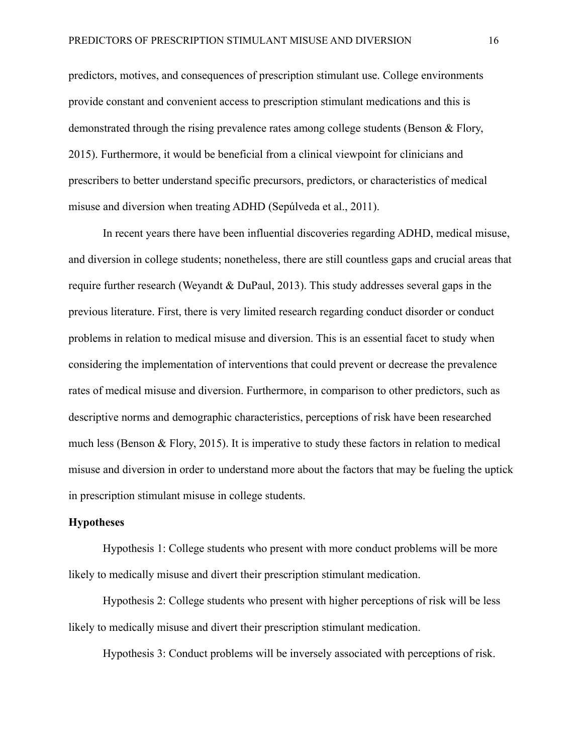predictors, motives, and consequences of prescription stimulant use. College environments provide constant and convenient access to prescription stimulant medications and this is demonstrated through the rising prevalence rates among college students (Benson & Flory, 2015). Furthermore, it would be beneficial from a clinical viewpoint for clinicians and prescribers to better understand specific precursors, predictors, or characteristics of medical misuse and diversion when treating ADHD (Sepúlveda et al., 2011).

In recent years there have been influential discoveries regarding ADHD, medical misuse, and diversion in college students; nonetheless, there are still countless gaps and crucial areas that require further research (Weyandt & DuPaul, 2013). This study addresses several gaps in the previous literature. First, there is very limited research regarding conduct disorder or conduct problems in relation to medical misuse and diversion. This is an essential facet to study when considering the implementation of interventions that could prevent or decrease the prevalence rates of medical misuse and diversion. Furthermore, in comparison to other predictors, such as descriptive norms and demographic characteristics, perceptions of risk have been researched much less (Benson & Flory, 2015). It is imperative to study these factors in relation to medical misuse and diversion in order to understand more about the factors that may be fueling the uptick in prescription stimulant misuse in college students.

## **Hypotheses**

Hypothesis 1: College students who present with more conduct problems will be more likely to medically misuse and divert their prescription stimulant medication.

Hypothesis 2: College students who present with higher perceptions of risk will be less likely to medically misuse and divert their prescription stimulant medication.

Hypothesis 3: Conduct problems will be inversely associated with perceptions of risk.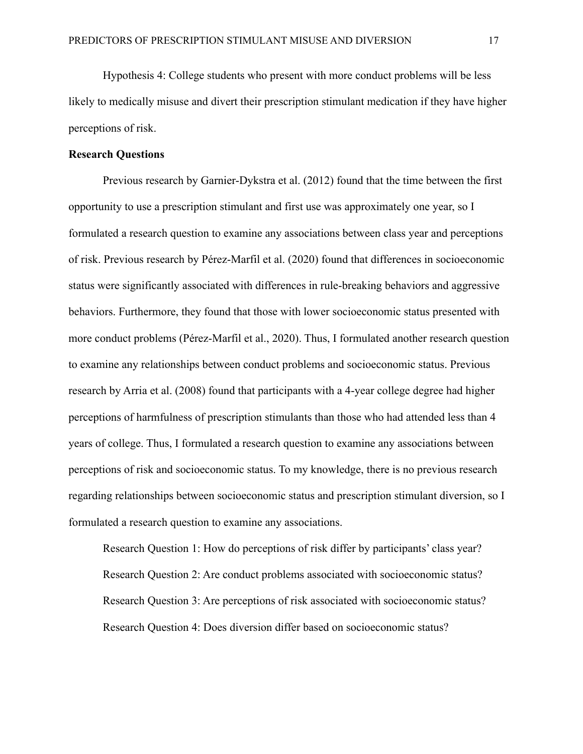Hypothesis 4: College students who present with more conduct problems will be less likely to medically misuse and divert their prescription stimulant medication if they have higher perceptions of risk.

### **Research Questions**

Previous research by Garnier-Dykstra et al. (2012) found that the time between the first opportunity to use a prescription stimulant and first use was approximately one year, so I formulated a research question to examine any associations between class year and perceptions of risk. Previous research by Pérez-Marfil et al. (2020) found that differences in socioeconomic status were significantly associated with differences in rule-breaking behaviors and aggressive behaviors. Furthermore, they found that those with lower socioeconomic status presented with more conduct problems (Pérez-Marfil et al., 2020). Thus, I formulated another research question to examine any relationships between conduct problems and socioeconomic status. Previous research by Arria et al. (2008) found that participants with a 4-year college degree had higher perceptions of harmfulness of prescription stimulants than those who had attended less than 4 years of college. Thus, I formulated a research question to examine any associations between perceptions of risk and socioeconomic status. To my knowledge, there is no previous research regarding relationships between socioeconomic status and prescription stimulant diversion, so I formulated a research question to examine any associations.

Research Question 1: How do perceptions of risk differ by participants' class year? Research Question 2: Are conduct problems associated with socioeconomic status? Research Question 3: Are perceptions of risk associated with socioeconomic status? Research Question 4: Does diversion differ based on socioeconomic status?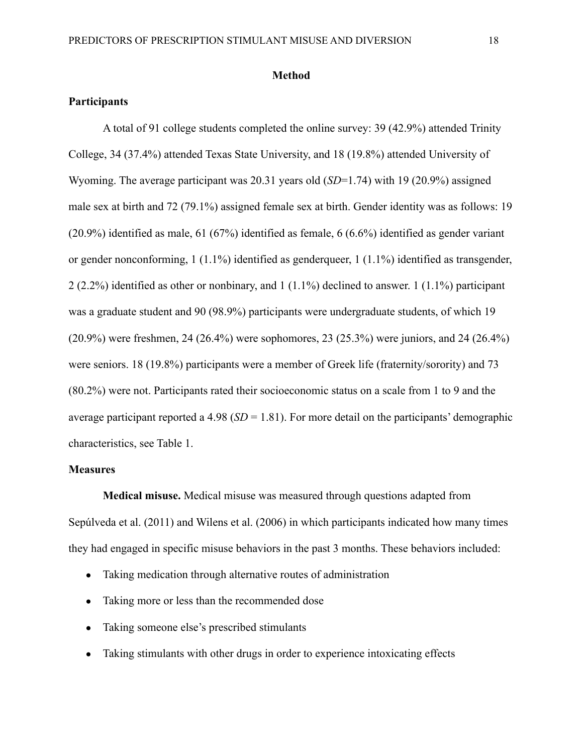#### **Method**

## **Participants**

A total of 91 college students completed the online survey: 39 (42.9%) attended Trinity College, 34 (37.4%) attended Texas State University, and 18 (19.8%) attended University of Wyoming. The average participant was 20.31 years old (*SD*=1.74) with 19 (20.9%) assigned male sex at birth and 72 (79.1%) assigned female sex at birth. Gender identity was as follows: 19 (20.9%) identified as male, 61 (67%) identified as female, 6 (6.6%) identified as gender variant or gender nonconforming, 1 (1.1%) identified as genderqueer, 1 (1.1%) identified as transgender, 2 (2.2%) identified as other or nonbinary, and 1 (1.1%) declined to answer. 1 (1.1%) participant was a graduate student and 90 (98.9%) participants were undergraduate students, of which 19 (20.9%) were freshmen, 24 (26.4%) were sophomores, 23 (25.3%) were juniors, and 24 (26.4%) were seniors. 18 (19.8%) participants were a member of Greek life (fraternity/sorority) and 73 (80.2%) were not. Participants rated their socioeconomic status on a scale from 1 to 9 and the average participant reported a  $4.98$  (*SD* = 1.81). For more detail on the participants' demographic characteristics, see Table 1.

## **Measures**

**Medical misuse.** Medical misuse was measured through questions adapted from Sepúlveda et al. (2011) and Wilens et al. (2006) in which participants indicated how many times they had engaged in specific misuse behaviors in the past 3 months. These behaviors included:

- Taking medication through alternative routes of administration
- Taking more or less than the recommended dose
- Taking someone else's prescribed stimulants
- Taking stimulants with other drugs in order to experience intoxicating effects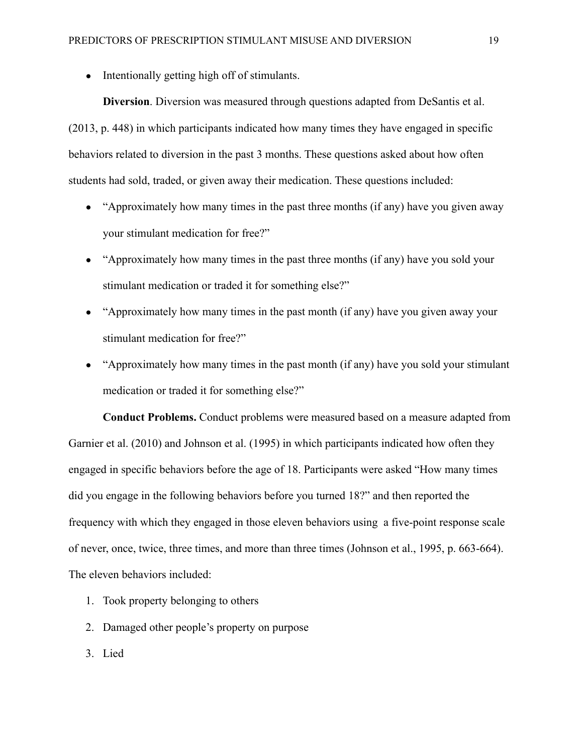• Intentionally getting high off of stimulants.

**Diversion**. Diversion was measured through questions adapted from DeSantis et al. (2013, p. 448) in which participants indicated how many times they have engaged in specific behaviors related to diversion in the past 3 months. These questions asked about how often students had sold, traded, or given away their medication. These questions included:

- $\bullet$  "Approximately how many times in the past three months (if any) have you given away your stimulant medication for free?"
- "Approximately how many times in the past three months (if any) have you sold your stimulant medication or traded it for something else?"
- "Approximately how many times in the past month (if any) have you given away your stimulant medication for free?"
- "Approximately how many times in the past month (if any) have you sold your stimulant medication or traded it for something else?"

**Conduct Problems.** Conduct problems were measured based on a measure adapted from Garnier et al. (2010) and Johnson et al. (1995) in which participants indicated how often they engaged in specific behaviors before the age of 18. Participants were asked "How many times did you engage in the following behaviors before you turned 18?" and then reported the frequency with which they engaged in those eleven behaviors using a five-point response scale of never, once, twice, three times, and more than three times (Johnson et al., 1995, p. 663-664). The eleven behaviors included:

- 1. Took property belonging to others
- 2. Damaged other people's property on purpose
- 3. Lied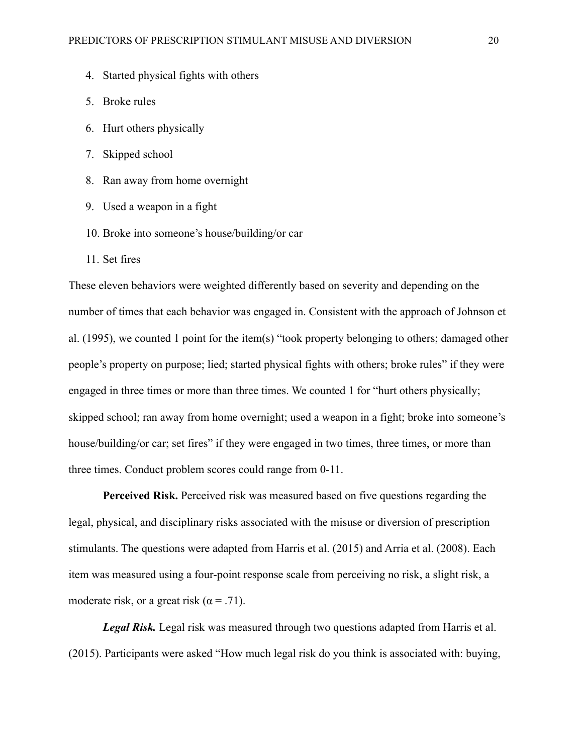- 4. Started physical fights with others
- 5. Broke rules
- 6. Hurt others physically
- 7. Skipped school
- 8. Ran away from home overnight
- 9. Used a weapon in a fight
- 10. Broke into someone's house/building/or car
- 11. Set fires

These eleven behaviors were weighted differently based on severity and depending on the number of times that each behavior was engaged in. Consistent with the approach of Johnson et al. (1995), we counted 1 point for the item(s) "took property belonging to others; damaged other people's property on purpose; lied; started physical fights with others; broke rules" if they were engaged in three times or more than three times. We counted 1 for "hurt others physically; skipped school; ran away from home overnight; used a weapon in a fight; broke into someone's house/building/or car; set fires" if they were engaged in two times, three times, or more than three times. Conduct problem scores could range from 0-11.

**Perceived Risk.** Perceived risk was measured based on five questions regarding the legal, physical, and disciplinary risks associated with the misuse or diversion of prescription stimulants. The questions were adapted from Harris et al. (2015) and Arria et al. (2008). Each item was measured using a four-point response scale from perceiving no risk, a slight risk, a moderate risk, or a great risk ( $\alpha$  = .71).

*Legal Risk.* Legal risk was measured through two questions adapted from Harris et al. (2015). Participants were asked "How much legal risk do you think is associated with: buying,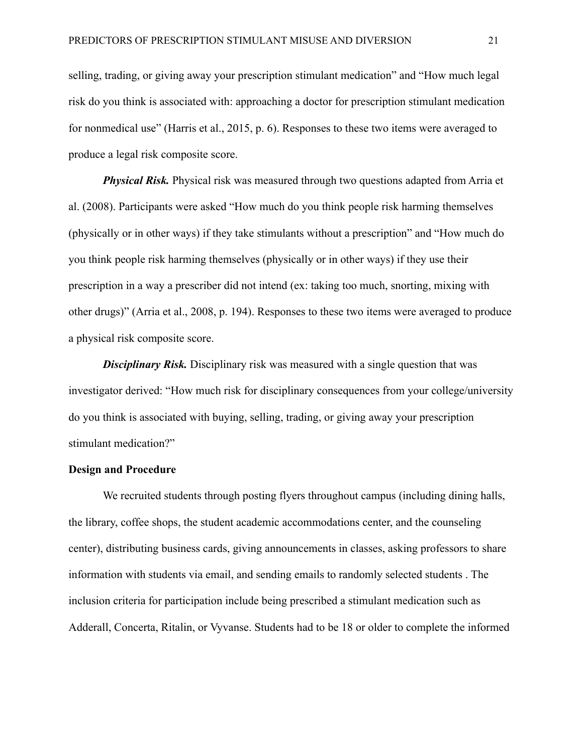selling, trading, or giving away your prescription stimulant medication" and "How much legal risk do you think is associated with: approaching a doctor for prescription stimulant medication for nonmedical use" (Harris et al., 2015, p. 6). Responses to these two items were averaged to produce a legal risk composite score.

*Physical Risk.* Physical risk was measured through two questions adapted from Arria et al. (2008). Participants were asked "How much do you think people risk harming themselves (physically or in other ways) if they take stimulants without a prescription" and "How much do you think people risk harming themselves (physically or in other ways) if they use their prescription in a way a prescriber did not intend (ex: taking too much, snorting, mixing with other drugs)" (Arria et al., 2008, p. 194). Responses to these two items were averaged to produce a physical risk composite score.

*Disciplinary Risk.* Disciplinary risk was measured with a single question that was investigator derived: "How much risk for disciplinary consequences from your college/university do you think is associated with buying, selling, trading, or giving away your prescription stimulant medication?"

# **Design and Procedure**

We recruited students through posting flyers throughout campus (including dining halls, the library, coffee shops, the student academic accommodations center, and the counseling center), distributing business cards, giving announcements in classes, asking professors to share information with students via email, and sending emails to randomly selected students . The inclusion criteria for participation include being prescribed a stimulant medication such as Adderall, Concerta, Ritalin, or Vyvanse. Students had to be 18 or older to complete the informed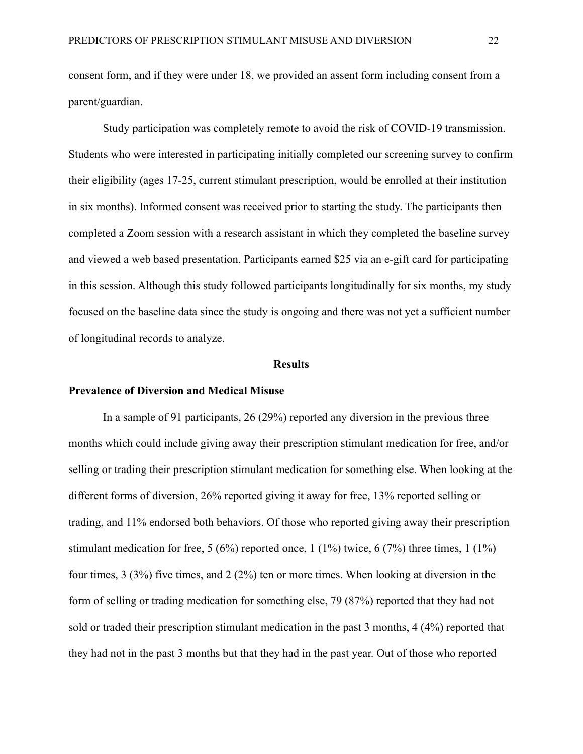consent form, and if they were under 18, we provided an assent form including consent from a parent/guardian.

Study participation was completely remote to avoid the risk of COVID-19 transmission. Students who were interested in participating initially completed our screening survey to confirm their eligibility (ages 17-25, current stimulant prescription, would be enrolled at their institution in six months). Informed consent was received prior to starting the study. The participants then completed a Zoom session with a research assistant in which they completed the baseline survey and viewed a web based presentation. Participants earned \$25 via an e-gift card for participating in this session. Although this study followed participants longitudinally for six months, my study focused on the baseline data since the study is ongoing and there was not yet a sufficient number of longitudinal records to analyze.

#### **Results**

#### **Prevalence of Diversion and Medical Misuse**

In a sample of 91 participants, 26 (29%) reported any diversion in the previous three months which could include giving away their prescription stimulant medication for free, and/or selling or trading their prescription stimulant medication for something else. When looking at the different forms of diversion, 26% reported giving it away for free, 13% reported selling or trading, and 11% endorsed both behaviors. Of those who reported giving away their prescription stimulant medication for free,  $5 (6\%)$  reported once, 1 (1%) twice, 6 (7%) three times, 1 (1%) four times, 3 (3%) five times, and 2 (2%) ten or more times. When looking at diversion in the form of selling or trading medication for something else, 79 (87%) reported that they had not sold or traded their prescription stimulant medication in the past 3 months, 4 (4%) reported that they had not in the past 3 months but that they had in the past year. Out of those who reported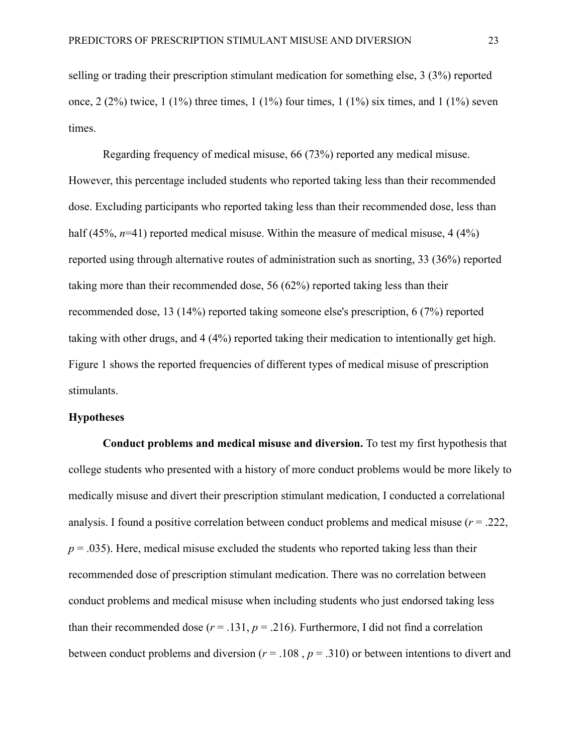selling or trading their prescription stimulant medication for something else, 3 (3%) reported once,  $2(2\%)$  twice,  $1(1\%)$  three times,  $1(1\%)$  four times,  $1(1\%)$  six times, and  $1(1\%)$  seven times.

Regarding frequency of medical misuse, 66 (73%) reported any medical misuse. However, this percentage included students who reported taking less than their recommended dose. Excluding participants who reported taking less than their recommended dose, less than half (45%, *n*=41) reported medical misuse. Within the measure of medical misuse, 4 (4%) reported using through alternative routes of administration such as snorting, 33 (36%) reported taking more than their recommended dose, 56 (62%) reported taking less than their recommended dose, 13 (14%) reported taking someone else's prescription, 6 (7%) reported taking with other drugs, and 4 (4%) reported taking their medication to intentionally get high. Figure 1 shows the reported frequencies of different types of medical misuse of prescription stimulants.

#### **Hypotheses**

**Conduct problems and medical misuse and diversion.** To test my first hypothesis that college students who presented with a history of more conduct problems would be more likely to medically misuse and divert their prescription stimulant medication, I conducted a correlational analysis. I found a positive correlation between conduct problems and medical misuse  $(r = .222, )$  $p = 0.035$ ). Here, medical misuse excluded the students who reported taking less than their recommended dose of prescription stimulant medication. There was no correlation between conduct problems and medical misuse when including students who just endorsed taking less than their recommended dose  $(r = .131, p = .216)$ . Furthermore, I did not find a correlation between conduct problems and diversion ( $r = .108$ ,  $p = .310$ ) or between intentions to divert and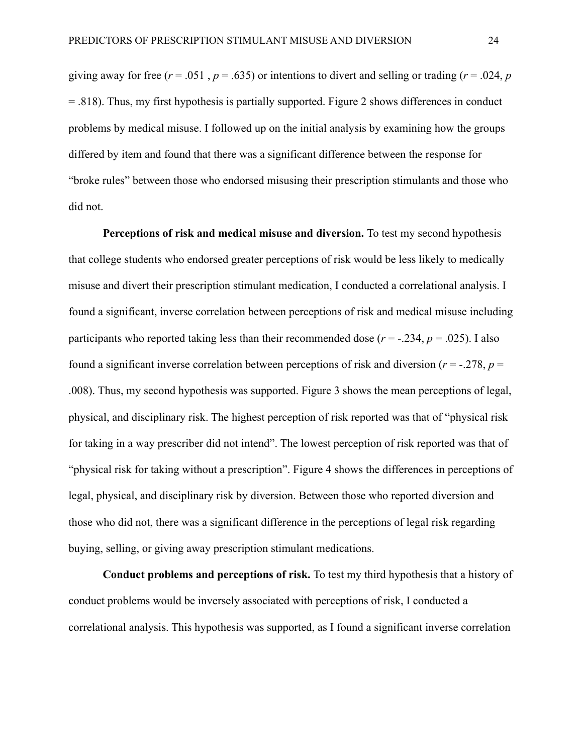giving away for free ( $r = .051$ ,  $p = .635$ ) or intentions to divert and selling or trading ( $r = .024$ ,  $p = .024$ ) = .818). Thus, my first hypothesis is partially supported. Figure 2 shows differences in conduct problems by medical misuse. I followed up on the initial analysis by examining how the groups differed by item and found that there was a significant difference between the response for "broke rules" between those who endorsed misusing their prescription stimulants and those who did not.

**Perceptions of risk and medical misuse and diversion.** To test my second hypothesis that college students who endorsed greater perceptions of risk would be less likely to medically misuse and divert their prescription stimulant medication, I conducted a correlational analysis. I found a significant, inverse correlation between perceptions of risk and medical misuse including participants who reported taking less than their recommended dose  $(r = -0.234, p = 0.025)$ . I also found a significant inverse correlation between perceptions of risk and diversion ( $r = -0.278$ ,  $p =$ .008). Thus, my second hypothesis was supported. Figure 3 shows the mean perceptions of legal, physical, and disciplinary risk. The highest perception of risk reported was that of "physical risk for taking in a way prescriber did not intend". The lowest perception of risk reported was that of "physical risk for taking without a prescription". Figure 4 shows the differences in perceptions of legal, physical, and disciplinary risk by diversion. Between those who reported diversion and those who did not, there was a significant difference in the perceptions of legal risk regarding buying, selling, or giving away prescription stimulant medications.

**Conduct problems and perceptions of risk.** To test my third hypothesis that a history of conduct problems would be inversely associated with perceptions of risk, I conducted a correlational analysis. This hypothesis was supported, as I found a significant inverse correlation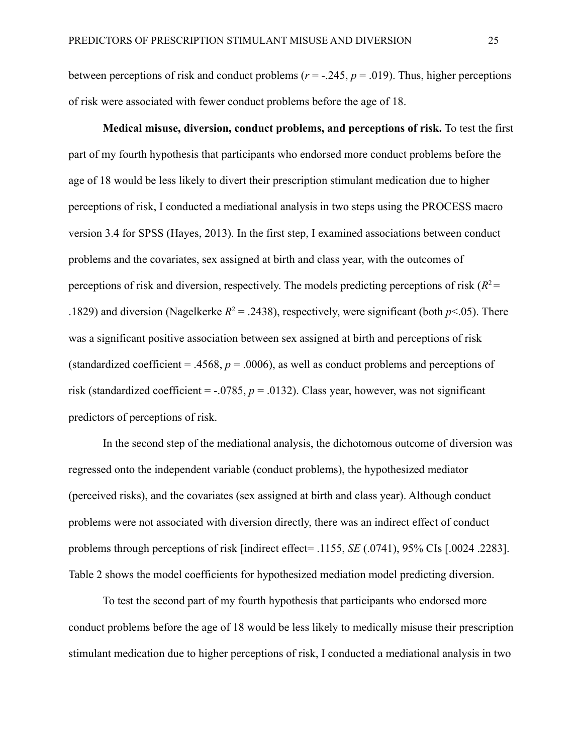between perceptions of risk and conduct problems ( $r = -0.245$ ,  $p = 0.019$ ). Thus, higher perceptions of risk were associated with fewer conduct problems before the age of 18.

**Medical misuse, diversion, conduct problems, and perceptions of risk.** To test the first part of my fourth hypothesis that participants who endorsed more conduct problems before the age of 18 would be less likely to divert their prescription stimulant medication due to higher perceptions of risk, I conducted a mediational analysis in two steps using the PROCESS macro version 3.4 for SPSS (Hayes, 2013). In the first step, I examined associations between conduct problems and the covariates, sex assigned at birth and class year, with the outcomes of perceptions of risk and diversion, respectively. The models predicting perceptions of risk  $(R^2 =$ .1829) and diversion (Nagelkerke  $R^2 = .2438$ ), respectively, were significant (both  $p < .05$ ). There was a significant positive association between sex assigned at birth and perceptions of risk (standardized coefficient = .4568,  $p = .0006$ ), as well as conduct problems and perceptions of risk (standardized coefficient =  $-0.0785$ ,  $p = 0.0132$ ). Class year, however, was not significant predictors of perceptions of risk.

In the second step of the mediational analysis, the dichotomous outcome of diversion was regressed onto the independent variable (conduct problems), the hypothesized mediator (perceived risks), and the covariates (sex assigned at birth and class year). Although conduct problems were not associated with diversion directly, there was an indirect effect of conduct problems through perceptions of risk [indirect effect= .1155, *SE* (.0741), 95% CIs [.0024 .2283]. Table 2 shows the model coefficients for hypothesized mediation model predicting diversion.

To test the second part of my fourth hypothesis that participants who endorsed more conduct problems before the age of 18 would be less likely to medically misuse their prescription stimulant medication due to higher perceptions of risk, I conducted a mediational analysis in two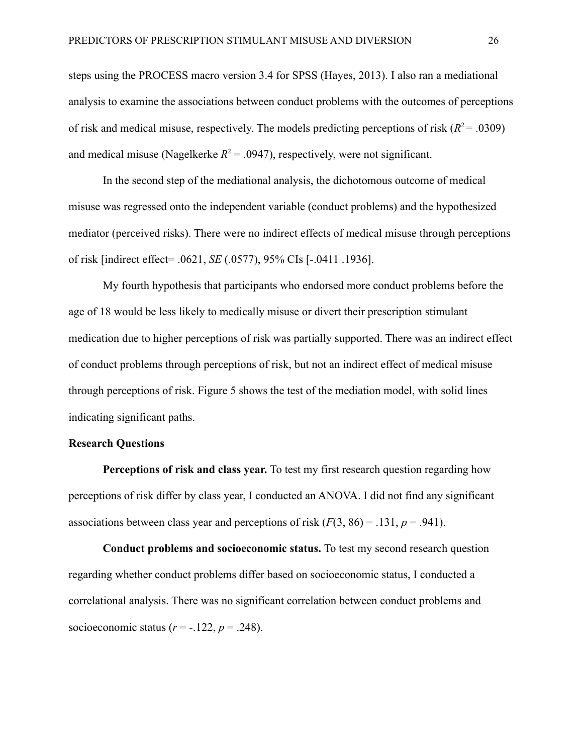steps using the PROCESS macro version 3.4 for SPSS (Hayes, 2013). I also ran a mediational analysis to examine the associations between conduct problems with the outcomes of perceptions of risk and medical misuse, respectively. The models predicting perceptions of risk  $(R^2 = .0309)$ and medical misuse (Nagelkerke  $R^2 = .0947$ ), respectively, were not significant.

In the second step of the mediational analysis, the dichotomous outcome of medical misuse was regressed onto the independent variable (conduct problems) and the hypothesized mediator (perceived risks). There were no indirect effects of medical misuse through perceptions of risk [indirect effect= .0621, *SE* (.0577), 95% CIs [-.0411 .1936].

My fourth hypothesis that participants who endorsed more conduct problems before the age of 18 would be less likely to medically misuse or divert their prescription stimulant medication due to higher perceptions of risk was partially supported. There was an indirect effect of conduct problems through perceptions of risk, but not an indirect effect of medical misuse through perceptions of risk. Figure 5 shows the test of the mediation model, with solid lines indicating significant paths.

#### **Research Questions**

**Perceptions of risk and class year.** To test my first research question regarding how perceptions of risk differ by class year, I conducted an ANOVA. I did not find any significant associations between class year and perceptions of risk  $(F(3, 86) = .131, p = .941)$ .

**Conduct problems and socioeconomic status.** To test my second research question regarding whether conduct problems differ based on socioeconomic status, I conducted a correlational analysis. There was no significant correlation between conduct problems and socioeconomic status  $(r = -.122, p = .248)$ .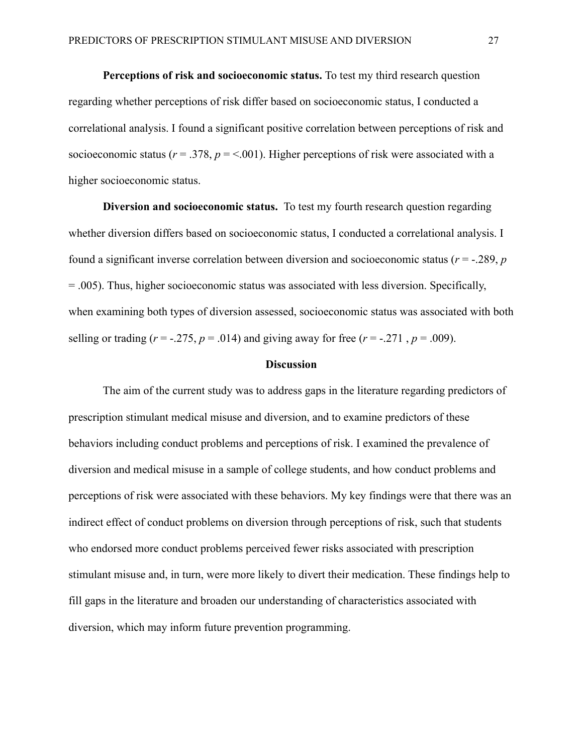**Perceptions of risk and socioeconomic status.** To test my third research question regarding whether perceptions of risk differ based on socioeconomic status, I conducted a correlational analysis. I found a significant positive correlation between perceptions of risk and socioeconomic status ( $r = .378$ ,  $p = < .001$ ). Higher perceptions of risk were associated with a higher socioeconomic status.

**Diversion and socioeconomic status.** To test my fourth research question regarding whether diversion differs based on socioeconomic status, I conducted a correlational analysis. I found a significant inverse correlation between diversion and socioeconomic status (*r* = -.289, *p* = .005). Thus, higher socioeconomic status was associated with less diversion. Specifically, when examining both types of diversion assessed, socioeconomic status was associated with both selling or trading ( $r = -0.275$ ,  $p = 0.014$ ) and giving away for free ( $r = -0.271$ ,  $p = 0.009$ ).

#### **Discussion**

The aim of the current study was to address gaps in the literature regarding predictors of prescription stimulant medical misuse and diversion, and to examine predictors of these behaviors including conduct problems and perceptions of risk. I examined the prevalence of diversion and medical misuse in a sample of college students, and how conduct problems and perceptions of risk were associated with these behaviors. My key findings were that there was an indirect effect of conduct problems on diversion through perceptions of risk, such that students who endorsed more conduct problems perceived fewer risks associated with prescription stimulant misuse and, in turn, were more likely to divert their medication. These findings help to fill gaps in the literature and broaden our understanding of characteristics associated with diversion, which may inform future prevention programming.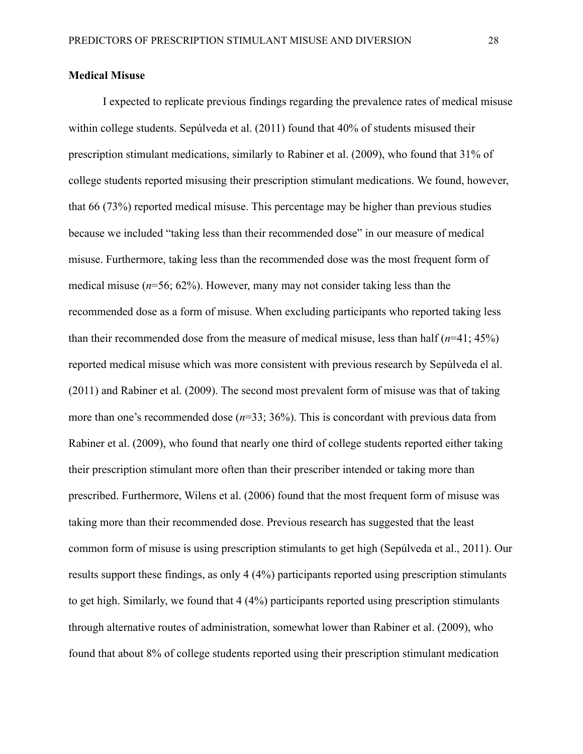#### **Medical Misuse**

I expected to replicate previous findings regarding the prevalence rates of medical misuse within college students. Sepúlveda et al. (2011) found that 40% of students misused their prescription stimulant medications, similarly to Rabiner et al. (2009), who found that 31% of college students reported misusing their prescription stimulant medications. We found, however, that 66 (73%) reported medical misuse. This percentage may be higher than previous studies because we included "taking less than their recommended dose" in our measure of medical misuse. Furthermore, taking less than the recommended dose was the most frequent form of medical misuse (*n*=56; 62%). However, many may not consider taking less than the recommended dose as a form of misuse. When excluding participants who reported taking less than their recommended dose from the measure of medical misuse, less than half  $(n=41; 45%)$ reported medical misuse which was more consistent with previous research by Sepúlveda el al. (2011) and Rabiner et al. (2009). The second most prevalent form of misuse was that of taking more than one's recommended dose ( $n=33$ ; 36%). This is concordant with previous data from Rabiner et al. (2009), who found that nearly one third of college students reported either taking their prescription stimulant more often than their prescriber intended or taking more than prescribed. Furthermore, Wilens et al. (2006) found that the most frequent form of misuse was taking more than their recommended dose. Previous research has suggested that the least common form of misuse is using prescription stimulants to get high (Sepúlveda et al., 2011). Our results support these findings, as only 4 (4%) participants reported using prescription stimulants to get high. Similarly, we found that 4 (4%) participants reported using prescription stimulants through alternative routes of administration, somewhat lower than Rabiner et al. (2009), who found that about 8% of college students reported using their prescription stimulant medication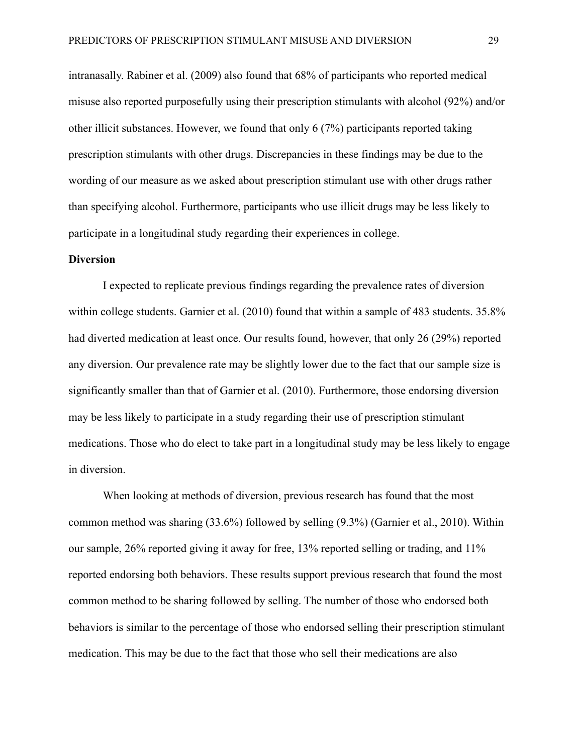intranasally. Rabiner et al. (2009) also found that 68% of participants who reported medical misuse also reported purposefully using their prescription stimulants with alcohol (92%) and/or other illicit substances. However, we found that only 6 (7%) participants reported taking prescription stimulants with other drugs. Discrepancies in these findings may be due to the wording of our measure as we asked about prescription stimulant use with other drugs rather than specifying alcohol. Furthermore, participants who use illicit drugs may be less likely to participate in a longitudinal study regarding their experiences in college.

#### **Diversion**

I expected to replicate previous findings regarding the prevalence rates of diversion within college students. Garnier et al. (2010) found that within a sample of 483 students. 35.8% had diverted medication at least once. Our results found, however, that only 26 (29%) reported any diversion. Our prevalence rate may be slightly lower due to the fact that our sample size is significantly smaller than that of Garnier et al. (2010). Furthermore, those endorsing diversion may be less likely to participate in a study regarding their use of prescription stimulant medications. Those who do elect to take part in a longitudinal study may be less likely to engage in diversion.

When looking at methods of diversion, previous research has found that the most common method was sharing (33.6%) followed by selling (9.3%) (Garnier et al., 2010). Within our sample, 26% reported giving it away for free, 13% reported selling or trading, and 11% reported endorsing both behaviors. These results support previous research that found the most common method to be sharing followed by selling. The number of those who endorsed both behaviors is similar to the percentage of those who endorsed selling their prescription stimulant medication. This may be due to the fact that those who sell their medications are also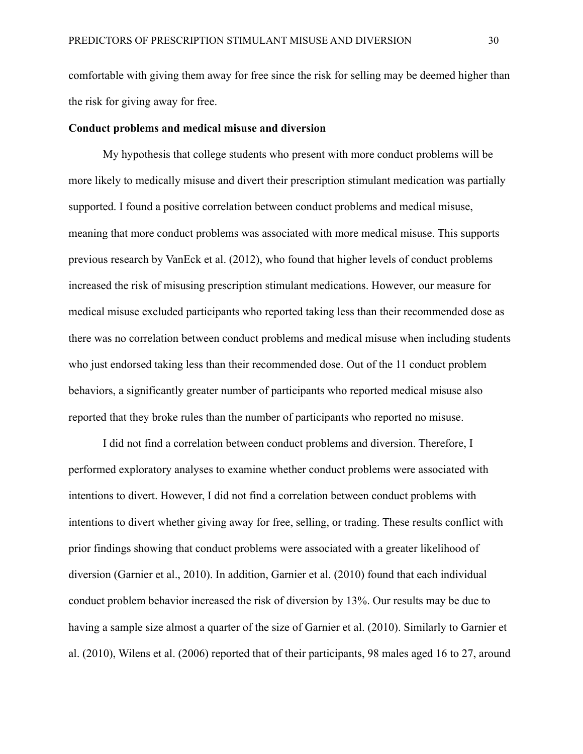comfortable with giving them away for free since the risk for selling may be deemed higher than the risk for giving away for free.

#### **Conduct problems and medical misuse and diversion**

My hypothesis that college students who present with more conduct problems will be more likely to medically misuse and divert their prescription stimulant medication was partially supported. I found a positive correlation between conduct problems and medical misuse, meaning that more conduct problems was associated with more medical misuse. This supports previous research by VanEck et al. (2012), who found that higher levels of conduct problems increased the risk of misusing prescription stimulant medications. However, our measure for medical misuse excluded participants who reported taking less than their recommended dose as there was no correlation between conduct problems and medical misuse when including students who just endorsed taking less than their recommended dose. Out of the 11 conduct problem behaviors, a significantly greater number of participants who reported medical misuse also reported that they broke rules than the number of participants who reported no misuse.

I did not find a correlation between conduct problems and diversion. Therefore, I performed exploratory analyses to examine whether conduct problems were associated with intentions to divert. However, I did not find a correlation between conduct problems with intentions to divert whether giving away for free, selling, or trading. These results conflict with prior findings showing that conduct problems were associated with a greater likelihood of diversion (Garnier et al., 2010). In addition, Garnier et al. (2010) found that each individual conduct problem behavior increased the risk of diversion by 13%. Our results may be due to having a sample size almost a quarter of the size of Garnier et al. (2010). Similarly to Garnier et al. (2010), Wilens et al. (2006) reported that of their participants, 98 males aged 16 to 27, around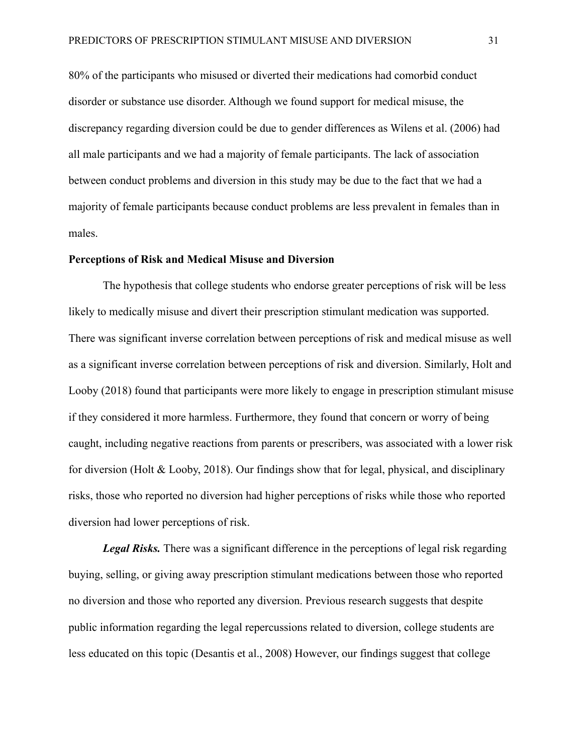80% of the participants who misused or diverted their medications had comorbid conduct disorder or substance use disorder. Although we found support for medical misuse, the discrepancy regarding diversion could be due to gender differences as Wilens et al. (2006) had all male participants and we had a majority of female participants. The lack of association between conduct problems and diversion in this study may be due to the fact that we had a majority of female participants because conduct problems are less prevalent in females than in males.

### **Perceptions of Risk and Medical Misuse and Diversion**

The hypothesis that college students who endorse greater perceptions of risk will be less likely to medically misuse and divert their prescription stimulant medication was supported. There was significant inverse correlation between perceptions of risk and medical misuse as well as a significant inverse correlation between perceptions of risk and diversion. Similarly, Holt and Looby (2018) found that participants were more likely to engage in prescription stimulant misuse if they considered it more harmless. Furthermore, they found that concern or worry of being caught, including negative reactions from parents or prescribers, was associated with a lower risk for diversion (Holt & Looby, 2018). Our findings show that for legal, physical, and disciplinary risks, those who reported no diversion had higher perceptions of risks while those who reported diversion had lower perceptions of risk.

*Legal Risks.* There was a significant difference in the perceptions of legal risk regarding buying, selling, or giving away prescription stimulant medications between those who reported no diversion and those who reported any diversion. Previous research suggests that despite public information regarding the legal repercussions related to diversion, college students are less educated on this topic (Desantis et al., 2008) However, our findings suggest that college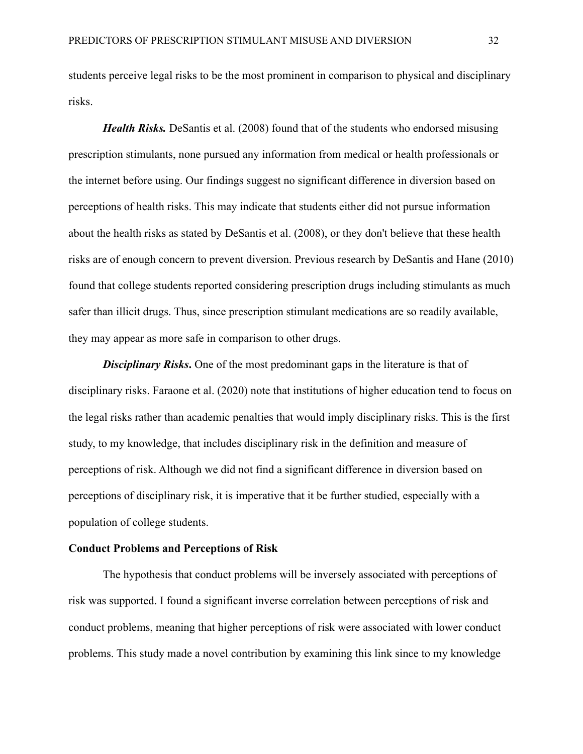students perceive legal risks to be the most prominent in comparison to physical and disciplinary risks.

*Health Risks.* DeSantis et al. (2008) found that of the students who endorsed misusing prescription stimulants, none pursued any information from medical or health professionals or the internet before using. Our findings suggest no significant difference in diversion based on perceptions of health risks. This may indicate that students either did not pursue information about the health risks as stated by DeSantis et al. (2008), or they don't believe that these health risks are of enough concern to prevent diversion. Previous research by DeSantis and Hane (2010) found that college students reported considering prescription drugs including stimulants as much safer than illicit drugs. Thus, since prescription stimulant medications are so readily available, they may appear as more safe in comparison to other drugs.

*Disciplinary Risks***.** One of the most predominant gaps in the literature is that of disciplinary risks. Faraone et al. (2020) note that institutions of higher education tend to focus on the legal risks rather than academic penalties that would imply disciplinary risks. This is the first study, to my knowledge, that includes disciplinary risk in the definition and measure of perceptions of risk. Although we did not find a significant difference in diversion based on perceptions of disciplinary risk, it is imperative that it be further studied, especially with a population of college students.

#### **Conduct Problems and Perceptions of Risk**

The hypothesis that conduct problems will be inversely associated with perceptions of risk was supported. I found a significant inverse correlation between perceptions of risk and conduct problems, meaning that higher perceptions of risk were associated with lower conduct problems. This study made a novel contribution by examining this link since to my knowledge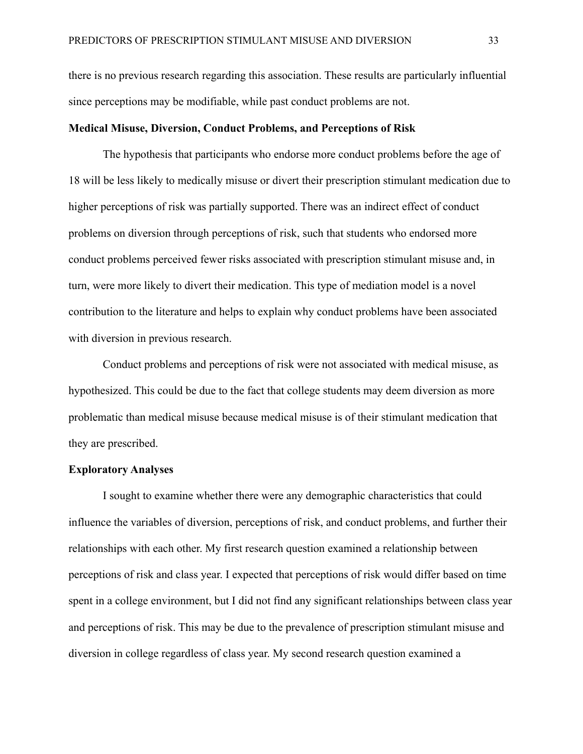there is no previous research regarding this association. These results are particularly influential since perceptions may be modifiable, while past conduct problems are not.

# **Medical Misuse, Diversion, Conduct Problems, and Perceptions of Risk**

The hypothesis that participants who endorse more conduct problems before the age of 18 will be less likely to medically misuse or divert their prescription stimulant medication due to higher perceptions of risk was partially supported. There was an indirect effect of conduct problems on diversion through perceptions of risk, such that students who endorsed more conduct problems perceived fewer risks associated with prescription stimulant misuse and, in turn, were more likely to divert their medication. This type of mediation model is a novel contribution to the literature and helps to explain why conduct problems have been associated with diversion in previous research.

Conduct problems and perceptions of risk were not associated with medical misuse, as hypothesized. This could be due to the fact that college students may deem diversion as more problematic than medical misuse because medical misuse is of their stimulant medication that they are prescribed.

## **Exploratory Analyses**

I sought to examine whether there were any demographic characteristics that could influence the variables of diversion, perceptions of risk, and conduct problems, and further their relationships with each other. My first research question examined a relationship between perceptions of risk and class year. I expected that perceptions of risk would differ based on time spent in a college environment, but I did not find any significant relationships between class year and perceptions of risk. This may be due to the prevalence of prescription stimulant misuse and diversion in college regardless of class year. My second research question examined a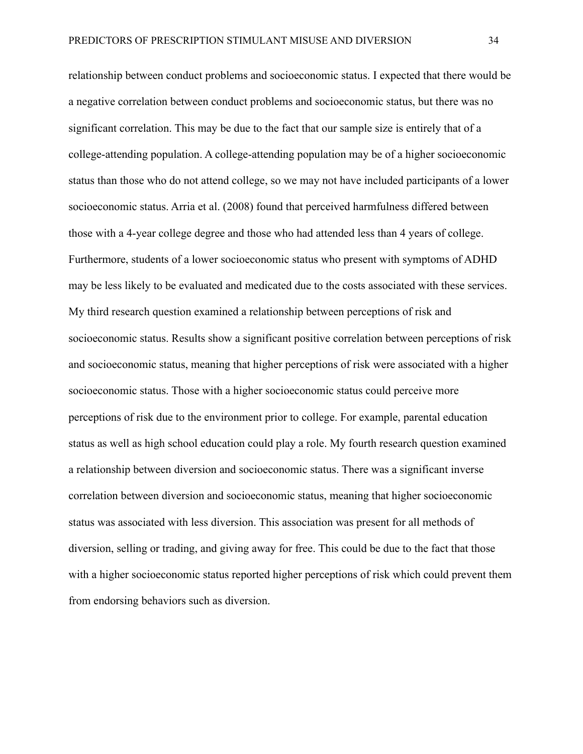relationship between conduct problems and socioeconomic status. I expected that there would be a negative correlation between conduct problems and socioeconomic status, but there was no significant correlation. This may be due to the fact that our sample size is entirely that of a college-attending population. A college-attending population may be of a higher socioeconomic status than those who do not attend college, so we may not have included participants of a lower socioeconomic status. Arria et al. (2008) found that perceived harmfulness differed between those with a 4-year college degree and those who had attended less than 4 years of college. Furthermore, students of a lower socioeconomic status who present with symptoms of ADHD may be less likely to be evaluated and medicated due to the costs associated with these services. My third research question examined a relationship between perceptions of risk and socioeconomic status. Results show a significant positive correlation between perceptions of risk and socioeconomic status, meaning that higher perceptions of risk were associated with a higher socioeconomic status. Those with a higher socioeconomic status could perceive more perceptions of risk due to the environment prior to college. For example, parental education status as well as high school education could play a role. My fourth research question examined a relationship between diversion and socioeconomic status. There was a significant inverse correlation between diversion and socioeconomic status, meaning that higher socioeconomic status was associated with less diversion. This association was present for all methods of diversion, selling or trading, and giving away for free. This could be due to the fact that those with a higher socioeconomic status reported higher perceptions of risk which could prevent them from endorsing behaviors such as diversion.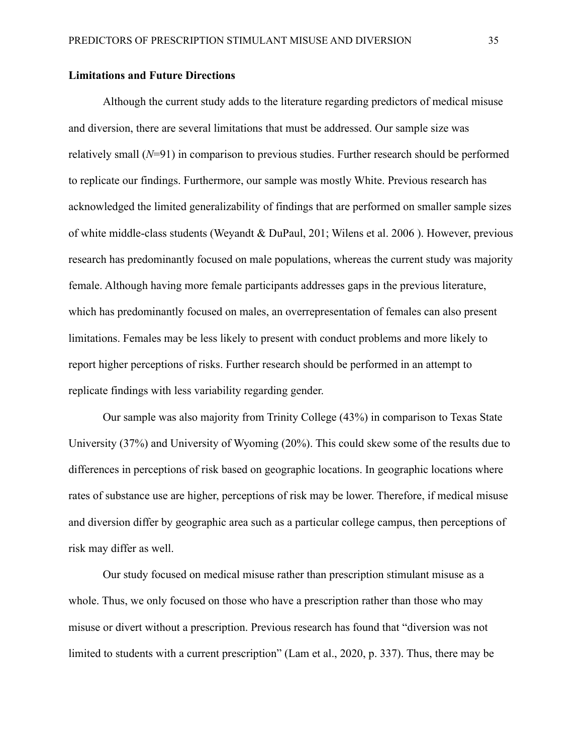#### **Limitations and Future Directions**

Although the current study adds to the literature regarding predictors of medical misuse and diversion, there are several limitations that must be addressed. Our sample size was relatively small (*N*=91) in comparison to previous studies. Further research should be performed to replicate our findings. Furthermore, our sample was mostly White. Previous research has acknowledged the limited generalizability of findings that are performed on smaller sample sizes of white middle-class students (Weyandt & DuPaul, 201; Wilens et al. 2006 ). However, previous research has predominantly focused on male populations, whereas the current study was majority female. Although having more female participants addresses gaps in the previous literature, which has predominantly focused on males, an overrepresentation of females can also present limitations. Females may be less likely to present with conduct problems and more likely to report higher perceptions of risks. Further research should be performed in an attempt to replicate findings with less variability regarding gender.

Our sample was also majority from Trinity College (43%) in comparison to Texas State University (37%) and University of Wyoming (20%). This could skew some of the results due to differences in perceptions of risk based on geographic locations. In geographic locations where rates of substance use are higher, perceptions of risk may be lower. Therefore, if medical misuse and diversion differ by geographic area such as a particular college campus, then perceptions of risk may differ as well.

Our study focused on medical misuse rather than prescription stimulant misuse as a whole. Thus, we only focused on those who have a prescription rather than those who may misuse or divert without a prescription. Previous research has found that "diversion was not limited to students with a current prescription" (Lam et al., 2020, p. 337). Thus, there may be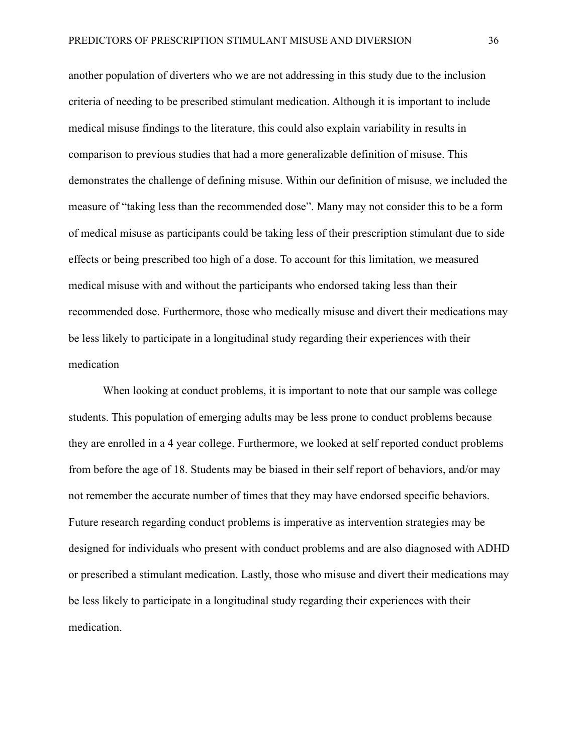another population of diverters who we are not addressing in this study due to the inclusion criteria of needing to be prescribed stimulant medication. Although it is important to include medical misuse findings to the literature, this could also explain variability in results in comparison to previous studies that had a more generalizable definition of misuse. This demonstrates the challenge of defining misuse. Within our definition of misuse, we included the measure of "taking less than the recommended dose". Many may not consider this to be a form of medical misuse as participants could be taking less of their prescription stimulant due to side effects or being prescribed too high of a dose. To account for this limitation, we measured medical misuse with and without the participants who endorsed taking less than their recommended dose. Furthermore, those who medically misuse and divert their medications may be less likely to participate in a longitudinal study regarding their experiences with their medication

When looking at conduct problems, it is important to note that our sample was college students. This population of emerging adults may be less prone to conduct problems because they are enrolled in a 4 year college. Furthermore, we looked at self reported conduct problems from before the age of 18. Students may be biased in their self report of behaviors, and/or may not remember the accurate number of times that they may have endorsed specific behaviors. Future research regarding conduct problems is imperative as intervention strategies may be designed for individuals who present with conduct problems and are also diagnosed with ADHD or prescribed a stimulant medication. Lastly, those who misuse and divert their medications may be less likely to participate in a longitudinal study regarding their experiences with their medication.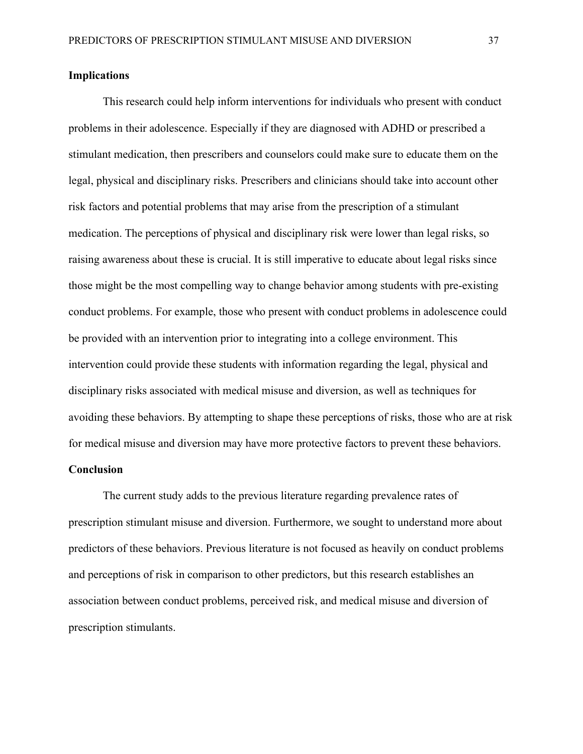### **Implications**

This research could help inform interventions for individuals who present with conduct problems in their adolescence. Especially if they are diagnosed with ADHD or prescribed a stimulant medication, then prescribers and counselors could make sure to educate them on the legal, physical and disciplinary risks. Prescribers and clinicians should take into account other risk factors and potential problems that may arise from the prescription of a stimulant medication. The perceptions of physical and disciplinary risk were lower than legal risks, so raising awareness about these is crucial. It is still imperative to educate about legal risks since those might be the most compelling way to change behavior among students with pre-existing conduct problems. For example, those who present with conduct problems in adolescence could be provided with an intervention prior to integrating into a college environment. This intervention could provide these students with information regarding the legal, physical and disciplinary risks associated with medical misuse and diversion, as well as techniques for avoiding these behaviors. By attempting to shape these perceptions of risks, those who are at risk for medical misuse and diversion may have more protective factors to prevent these behaviors.

### **Conclusion**

The current study adds to the previous literature regarding prevalence rates of prescription stimulant misuse and diversion. Furthermore, we sought to understand more about predictors of these behaviors. Previous literature is not focused as heavily on conduct problems and perceptions of risk in comparison to other predictors, but this research establishes an association between conduct problems, perceived risk, and medical misuse and diversion of prescription stimulants.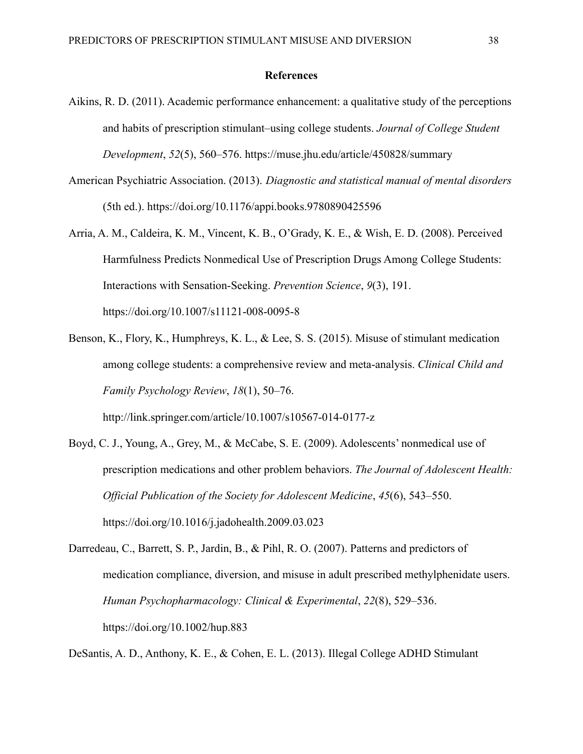#### **References**

- Aikins, R. D. (2011). Academic performance enhancement: a qualitative study of the perceptions and habits of prescription stimulant–using college students. *Journal of College Student Development*, *52*(5), 560–576. https://muse.jhu.edu/article/450828/summary
- American Psychiatric Association. (2013). *Diagnostic and statistical manual of mental disorders* (5th ed.). https://doi.org/10.1176/appi.books.9780890425596
- Arria, A. M., Caldeira, K. M., Vincent, K. B., O'Grady, K. E., & Wish, E. D. (2008). Perceived Harmfulness Predicts Nonmedical Use of Prescription Drugs Among College Students: Interactions with Sensation-Seeking. *Prevention Science*, *9*(3), 191. https://doi.org/10.1007/s11121-008-0095-8
- Benson, K., Flory, K., Humphreys, K. L., & Lee, S. S. (2015). Misuse of stimulant medication among college students: a comprehensive review and meta-analysis. *Clinical Child and Family Psychology Review*, *18*(1), 50–76. http://link.springer.com/article/10.1007/s10567-014-0177-z
- Boyd, C. J., Young, A., Grey, M., & McCabe, S. E. (2009). Adolescents' nonmedical use of prescription medications and other problem behaviors. *The Journal of Adolescent Health: Official Publication of the Society for Adolescent Medicine*, *45*(6), 543–550. https://doi.org/10.1016/j.jadohealth.2009.03.023
- Darredeau, C., Barrett, S. P., Jardin, B., & Pihl, R. O. (2007). Patterns and predictors of medication compliance, diversion, and misuse in adult prescribed methylphenidate users. *Human Psychopharmacology: Clinical & Experimental*, *22*(8), 529–536. https://doi.org/10.1002/hup.883

DeSantis, A. D., Anthony, K. E., & Cohen, E. L. (2013). Illegal College ADHD Stimulant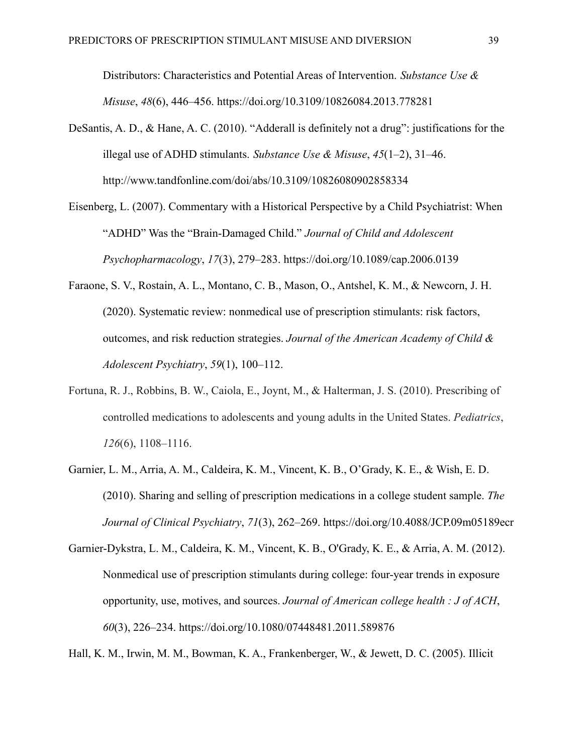Distributors: Characteristics and Potential Areas of Intervention. *Substance Use & Misuse*, *48*(6), 446–456. https://doi.org/10.3109/10826084.2013.778281

- DeSantis, A. D., & Hane, A. C. (2010). "Adderall is definitely not a drug": justifications for the illegal use of ADHD stimulants. *Substance Use & Misuse*, *45*(1–2), 31–46. http://www.tandfonline.com/doi/abs/10.3109/10826080902858334
- Eisenberg, L. (2007). Commentary with a Historical Perspective by a Child Psychiatrist: When "ADHD" Was the "Brain-Damaged Child." *Journal of Child and Adolescent Psychopharmacology*, *17*(3), 279–283. https://doi.org/10.1089/cap.2006.0139
- Faraone, S. V., Rostain, A. L., Montano, C. B., Mason, O., Antshel, K. M., & Newcorn, J. H. (2020). Systematic review: nonmedical use of prescription stimulants: risk factors, outcomes, and risk reduction strategies. *Journal of the American Academy of Child & Adolescent Psychiatry*, *59*(1), 100–112.
- Fortuna, R. J., Robbins, B. W., Caiola, E., Joynt, M., & Halterman, J. S. (2010). Prescribing of controlled medications to adolescents and young adults in the United States. *Pediatrics*, *126*(6), 1108–1116.
- Garnier, L. M., Arria, A. M., Caldeira, K. M., Vincent, K. B., O'Grady, K. E., & Wish, E. D. (2010). Sharing and selling of prescription medications in a college student sample. *The Journal of Clinical Psychiatry*, *71*(3), 262–269. https://doi.org/10.4088/JCP.09m05189ecr
- Garnier-Dykstra, L. M., Caldeira, K. M., Vincent, K. B., O'Grady, K. E., & Arria, A. M. (2012). Nonmedical use of prescription stimulants during college: four-year trends in exposure opportunity, use, motives, and sources. *Journal of American college health : J of ACH*, *60*(3), 226–234. https://doi.org/10.1080/07448481.2011.589876

Hall, K. M., Irwin, M. M., Bowman, K. A., Frankenberger, W., & Jewett, D. C. (2005). Illicit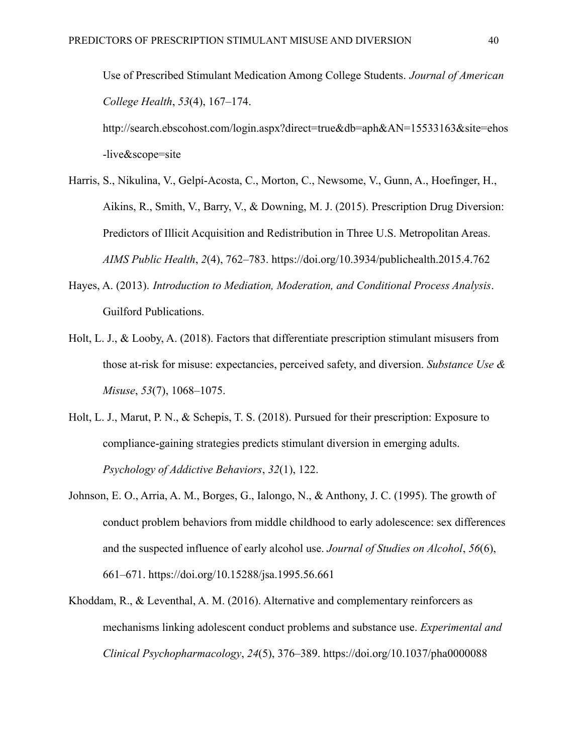Use of Prescribed Stimulant Medication Among College Students. *Journal of American College Health*, *53*(4), 167–174. http://search.ebscohost.com/login.aspx?direct=true&db=aph&AN=15533163&site=ehos -live&scope=site

- Harris, S., Nikulina, V., Gelpí-Acosta, C., Morton, C., Newsome, V., Gunn, A., Hoefinger, H., Aikins, R., Smith, V., Barry, V., & Downing, M. J. (2015). Prescription Drug Diversion: Predictors of Illicit Acquisition and Redistribution in Three U.S. Metropolitan Areas. *AIMS Public Health*, *2*(4), 762–783. https://doi.org/10.3934/publichealth.2015.4.762
- Hayes, A. (2013). *Introduction to Mediation, Moderation, and Conditional Process Analysis*. Guilford Publications.
- Holt, L. J., & Looby, A. (2018). Factors that differentiate prescription stimulant misusers from those at-risk for misuse: expectancies, perceived safety, and diversion. *Substance Use & Misuse*, *53*(7), 1068–1075.
- Holt, L. J., Marut, P. N., & Schepis, T. S. (2018). Pursued for their prescription: Exposure to compliance-gaining strategies predicts stimulant diversion in emerging adults. *Psychology of Addictive Behaviors*, *32*(1), 122.
- Johnson, E. O., Arria, A. M., Borges, G., Ialongo, N., & Anthony, J. C. (1995). The growth of conduct problem behaviors from middle childhood to early adolescence: sex differences and the suspected influence of early alcohol use. *Journal of Studies on Alcohol*, *56*(6), 661–671. https://doi.org/10.15288/jsa.1995.56.661
- Khoddam, R., & Leventhal, A. M. (2016). Alternative and complementary reinforcers as mechanisms linking adolescent conduct problems and substance use. *Experimental and Clinical Psychopharmacology*, *24*(5), 376–389. https://doi.org/10.1037/pha0000088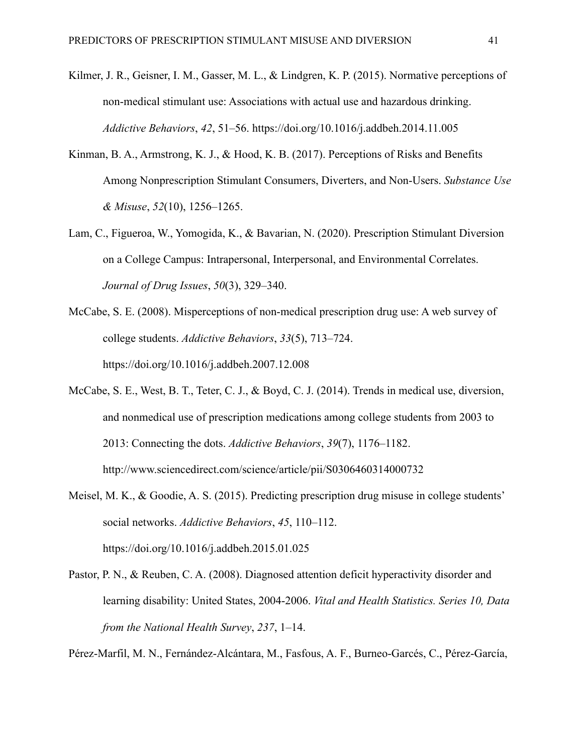- Kilmer, J. R., Geisner, I. M., Gasser, M. L., & Lindgren, K. P. (2015). Normative perceptions of non-medical stimulant use: Associations with actual use and hazardous drinking. *Addictive Behaviors*, *42*, 51–56. https://doi.org/10.1016/j.addbeh.2014.11.005
- Kinman, B. A., Armstrong, K. J., & Hood, K. B. (2017). Perceptions of Risks and Benefits Among Nonprescription Stimulant Consumers, Diverters, and Non-Users. *Substance Use & Misuse*, *52*(10), 1256–1265.
- Lam, C., Figueroa, W., Yomogida, K., & Bavarian, N. (2020). Prescription Stimulant Diversion on a College Campus: Intrapersonal, Interpersonal, and Environmental Correlates. *Journal of Drug Issues*, *50*(3), 329–340.
- McCabe, S. E. (2008). Misperceptions of non-medical prescription drug use: A web survey of college students. *Addictive Behaviors*, *33*(5), 713–724. https://doi.org/10.1016/j.addbeh.2007.12.008
- McCabe, S. E., West, B. T., Teter, C. J., & Boyd, C. J. (2014). Trends in medical use, diversion, and nonmedical use of prescription medications among college students from 2003 to 2013: Connecting the dots. *Addictive Behaviors*, *39*(7), 1176–1182. http://www.sciencedirect.com/science/article/pii/S0306460314000732
- Meisel, M. K., & Goodie, A. S. (2015). Predicting prescription drug misuse in college students' social networks. *Addictive Behaviors*, *45*, 110–112. https://doi.org/10.1016/j.addbeh.2015.01.025
- Pastor, P. N., & Reuben, C. A. (2008). Diagnosed attention deficit hyperactivity disorder and learning disability: United States, 2004-2006. *Vital and Health Statistics. Series 10, Data from the National Health Survey*, *237*, 1–14.

Pérez-Marfil, M. N., Fernández-Alcántara, M., Fasfous, A. F., Burneo-Garcés, C., Pérez-García,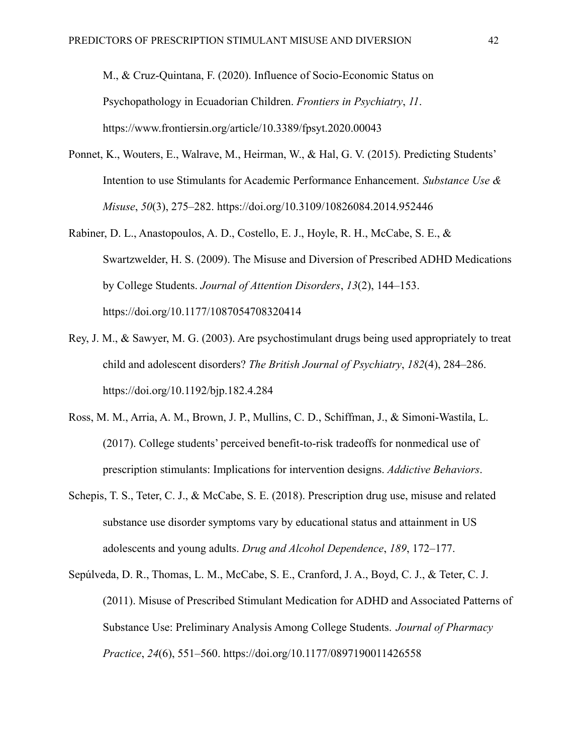M., & Cruz-Quintana, F. (2020). Influence of Socio-Economic Status on Psychopathology in Ecuadorian Children. *Frontiers in Psychiatry*, *11*. https://www.frontiersin.org/article/10.3389/fpsyt.2020.00043

- Ponnet, K., Wouters, E., Walrave, M., Heirman, W., & Hal, G. V. (2015). Predicting Students' Intention to use Stimulants for Academic Performance Enhancement. *Substance Use & Misuse*, *50*(3), 275–282. https://doi.org/10.3109/10826084.2014.952446
- Rabiner, D. L., Anastopoulos, A. D., Costello, E. J., Hoyle, R. H., McCabe, S. E., & Swartzwelder, H. S. (2009). The Misuse and Diversion of Prescribed ADHD Medications by College Students. *Journal of Attention Disorders*, *13*(2), 144–153. https://doi.org/10.1177/1087054708320414
- Rey, J. M., & Sawyer, M. G. (2003). Are psychostimulant drugs being used appropriately to treat child and adolescent disorders? *The British Journal of Psychiatry*, *182*(4), 284–286. https://doi.org/10.1192/bjp.182.4.284
- Ross, M. M., Arria, A. M., Brown, J. P., Mullins, C. D., Schiffman, J., & Simoni-Wastila, L. (2017). College students' perceived benefit-to-risk tradeoffs for nonmedical use of prescription stimulants: Implications for intervention designs. *Addictive Behaviors*.
- Schepis, T. S., Teter, C. J., & McCabe, S. E. (2018). Prescription drug use, misuse and related substance use disorder symptoms vary by educational status and attainment in US adolescents and young adults. *Drug and Alcohol Dependence*, *189*, 172–177.
- Sepúlveda, D. R., Thomas, L. M., McCabe, S. E., Cranford, J. A., Boyd, C. J., & Teter, C. J. (2011). Misuse of Prescribed Stimulant Medication for ADHD and Associated Patterns of Substance Use: Preliminary Analysis Among College Students. *Journal of Pharmacy Practice*, *24*(6), 551–560. https://doi.org/10.1177/0897190011426558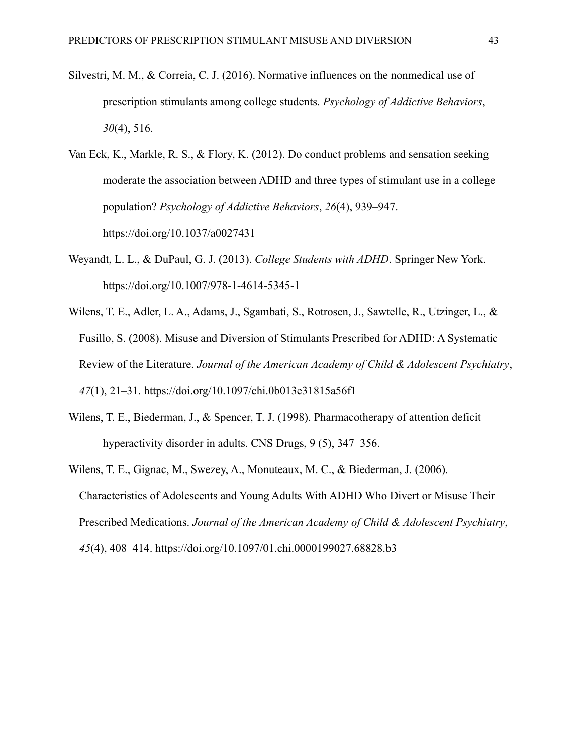- Silvestri, M. M., & Correia, C. J. (2016). Normative influences on the nonmedical use of prescription stimulants among college students. *Psychology of Addictive Behaviors*, *30*(4), 516.
- Van Eck, K., Markle, R. S., & Flory, K. (2012). Do conduct problems and sensation seeking moderate the association between ADHD and three types of stimulant use in a college population? *Psychology of Addictive Behaviors*, *26*(4), 939–947. https://doi.org/10.1037/a0027431
- Weyandt, L. L., & DuPaul, G. J. (2013). *College Students with ADHD*. Springer New York. https://doi.org/10.1007/978-1-4614-5345-1
- Wilens, T. E., Adler, L. A., Adams, J., Sgambati, S., Rotrosen, J., Sawtelle, R., Utzinger, L., & Fusillo, S. (2008). Misuse and Diversion of Stimulants Prescribed for ADHD: A Systematic Review of the Literature. *Journal of the American Academy of Child & Adolescent Psychiatry*, *47*(1), 21–31. https://doi.org/10.1097/chi.0b013e31815a56f1
- Wilens, T. E., Biederman, J., & Spencer, T. J. (1998). Pharmacotherapy of attention deficit hyperactivity disorder in adults. CNS Drugs, 9 (5), 347–356.
- Wilens, T. E., Gignac, M., Swezey, A., Monuteaux, M. C., & Biederman, J. (2006). Characteristics of Adolescents and Young Adults With ADHD Who Divert or Misuse Their Prescribed Medications. *Journal of the American Academy of Child & Adolescent Psychiatry*, *45*(4), 408–414. https://doi.org/10.1097/01.chi.0000199027.68828.b3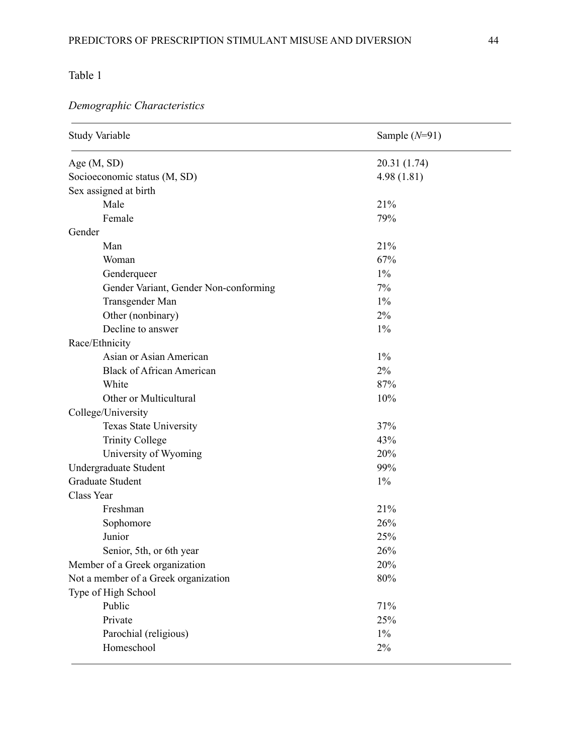# Table 1

# *Demographic Characteristics*

| <b>Study Variable</b>                 | Sample $(N=91)$ |  |  |  |  |
|---------------------------------------|-----------------|--|--|--|--|
| Age $(M, SD)$                         | 20.31 (1.74)    |  |  |  |  |
| Socioeconomic status (M, SD)          | 4.98(1.81)      |  |  |  |  |
| Sex assigned at birth                 |                 |  |  |  |  |
| Male                                  | 21%             |  |  |  |  |
| Female                                | 79%             |  |  |  |  |
| Gender                                |                 |  |  |  |  |
| Man                                   | 21%             |  |  |  |  |
| Woman                                 | 67%             |  |  |  |  |
| Genderqueer                           | $1\%$           |  |  |  |  |
| Gender Variant, Gender Non-conforming | 7%              |  |  |  |  |
| Transgender Man                       | $1\%$           |  |  |  |  |
| Other (nonbinary)                     | 2%              |  |  |  |  |
| Decline to answer                     | $1\%$           |  |  |  |  |
| Race/Ethnicity                        |                 |  |  |  |  |
| Asian or Asian American               | $1\%$           |  |  |  |  |
| <b>Black of African American</b>      | 2%              |  |  |  |  |
| White                                 | 87%             |  |  |  |  |
| Other or Multicultural                | 10%             |  |  |  |  |
| College/University                    |                 |  |  |  |  |
| Texas State University                | 37%             |  |  |  |  |
| <b>Trinity College</b>                | 43%             |  |  |  |  |
| University of Wyoming                 | 20%             |  |  |  |  |
| Undergraduate Student                 | 99%             |  |  |  |  |
| Graduate Student                      | $1\%$           |  |  |  |  |
| Class Year                            |                 |  |  |  |  |
| Freshman                              | 21%             |  |  |  |  |
| Sophomore                             | 26%             |  |  |  |  |
| Junior                                | 25%             |  |  |  |  |
| Senior, 5th, or 6th year              | 26%             |  |  |  |  |
| Member of a Greek organization        | 20%             |  |  |  |  |
| Not a member of a Greek organization  | 80%             |  |  |  |  |
| Type of High School                   |                 |  |  |  |  |
| Public                                | 71%             |  |  |  |  |
| Private                               | 25%             |  |  |  |  |
| Parochial (religious)                 | $1\%$           |  |  |  |  |
| Homeschool                            | $2\%$           |  |  |  |  |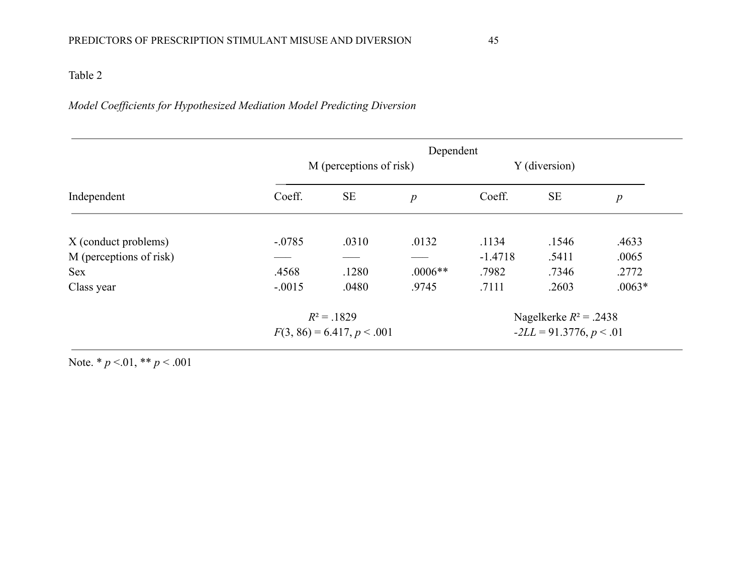# Table 2

# *Model Coefficients for Hypothesized Mediation Model Predicting Diversion*

| Independent             | Dependent                    |           |           |                            |           |                  |  |
|-------------------------|------------------------------|-----------|-----------|----------------------------|-----------|------------------|--|
|                         | M (perceptions of risk)      |           |           | Y (diversion)              |           |                  |  |
|                         | Coeff.                       | <b>SE</b> | p         | Coeff.                     | <b>SE</b> | $\boldsymbol{p}$ |  |
| X (conduct problems)    | $-.0785$                     | .0310     | .0132     | .1134                      | .1546     | .4633            |  |
| M (perceptions of risk) |                              |           |           | $-1.4718$                  | .5411     | .0065            |  |
| <b>Sex</b>              | .4568                        | .1280     | $.0006**$ | .7982                      | .7346     | .2772            |  |
| Class year              | $-.0015$                     | .0480     | .9745     | .7111                      | .2603     | $.0063*$         |  |
|                         | $R^2 = .1829$                |           |           | Nagelkerke $R^2$ = .2438   |           |                  |  |
|                         | $F(3, 86) = 6.417, p < .001$ |           |           | $-2LL = 91.3776, p < 0.01$ |           |                  |  |
|                         |                              |           |           |                            |           |                  |  |

Note. \* *p* <.01, \*\* *p* < .001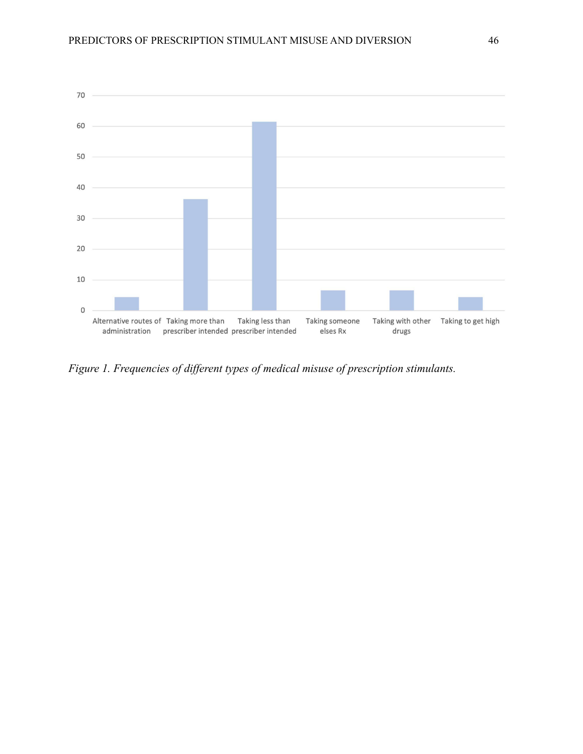

*Figure 1. Frequencies of different types of medical misuse of prescription stimulants.*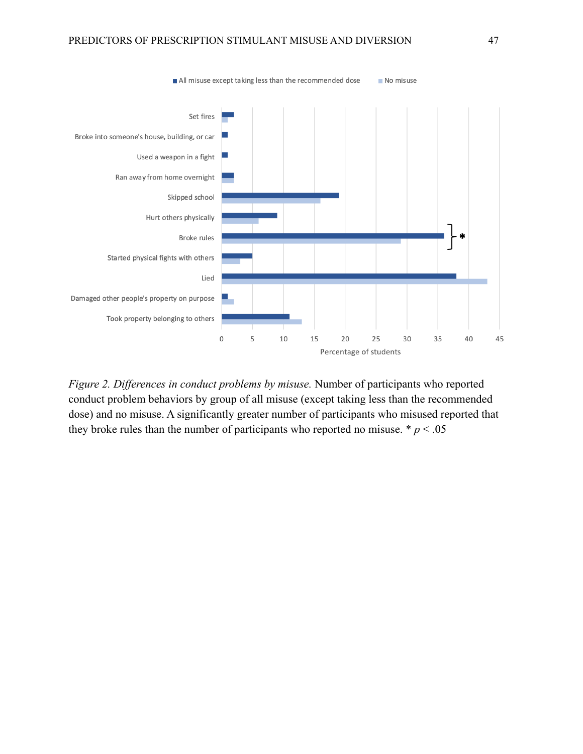

*Figure 2. Differences in conduct problems by misuse.* Number of participants who reported conduct problem behaviors by group of all misuse (except taking less than the recommended dose) and no misuse. A significantly greater number of participants who misused reported that they broke rules than the number of participants who reported no misuse.  $\ast p < .05$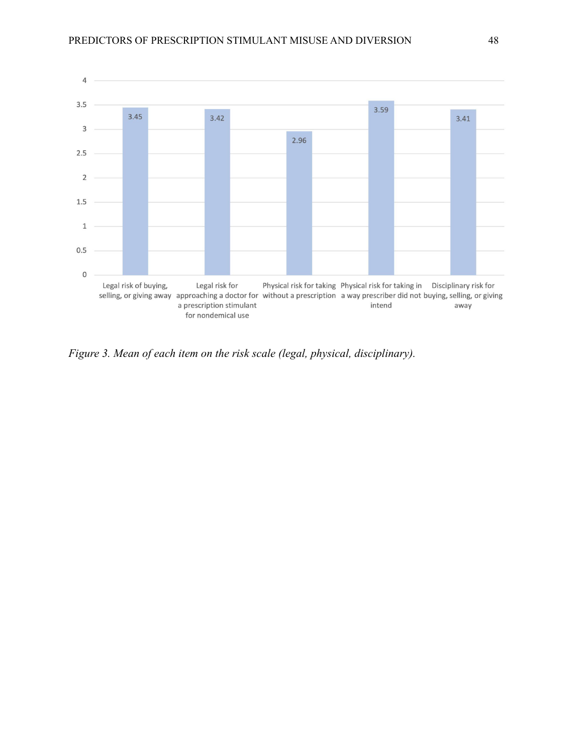

*Figure 3. Mean of each item on the risk scale (legal, physical, disciplinary).*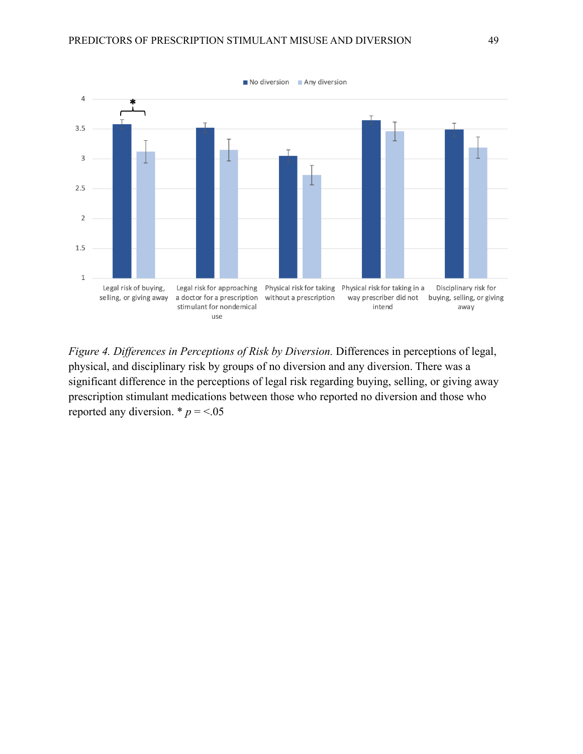

*Figure 4. Differences in Perceptions of Risk by Diversion.* Differences in perceptions of legal, physical, and disciplinary risk by groups of no diversion and any diversion. There was a significant difference in the perceptions of legal risk regarding buying, selling, or giving away prescription stimulant medications between those who reported no diversion and those who reported any diversion.  $* p = 5.05$